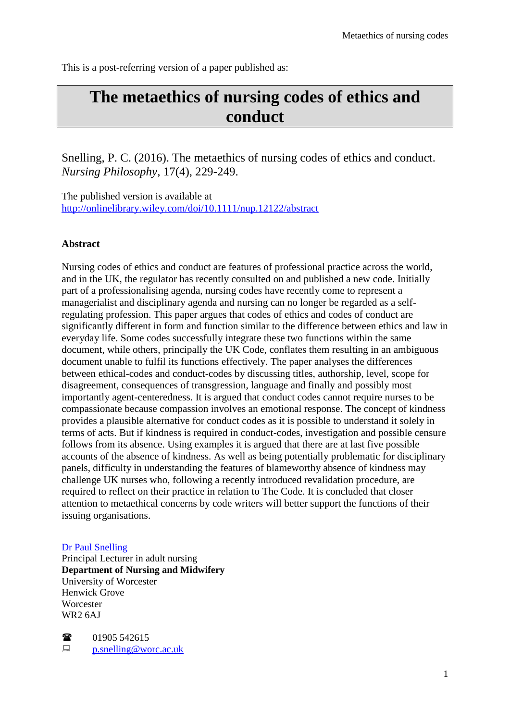This is a post-referring version of a paper published as:

# **The metaethics of nursing codes of ethics and conduct**

Snelling, P. C. (2016). The metaethics of nursing codes of ethics and conduct. *Nursing Philosophy*, 17(4), 229-249.

The published version is available at <http://onlinelibrary.wiley.com/doi/10.1111/nup.12122/abstract>

## **Abstract**

Nursing codes of ethics and conduct are features of professional practice across the world, and in the UK, the regulator has recently consulted on and published a new code. Initially part of a professionalising agenda, nursing codes have recently come to represent a managerialist and disciplinary agenda and nursing can no longer be regarded as a selfregulating profession. This paper argues that codes of ethics and codes of conduct are significantly different in form and function similar to the difference between ethics and law in everyday life. Some codes successfully integrate these two functions within the same document, while others, principally the UK Code, conflates them resulting in an ambiguous document unable to fulfil its functions effectively. The paper analyses the differences between ethical-codes and conduct-codes by discussing titles, authorship, level, scope for disagreement, consequences of transgression, language and finally and possibly most importantly agent-centeredness. It is argued that conduct codes cannot require nurses to be compassionate because compassion involves an emotional response. The concept of kindness provides a plausible alternative for conduct codes as it is possible to understand it solely in terms of acts. But if kindness is required in conduct-codes, investigation and possible censure follows from its absence. Using examples it is argued that there are at last five possible accounts of the absence of kindness. As well as being potentially problematic for disciplinary panels, difficulty in understanding the features of blameworthy absence of kindness may challenge UK nurses who, following a recently introduced revalidation procedure, are required to reflect on their practice in relation to The Code. It is concluded that closer attention to metaethical concerns by code writers will better support the functions of their issuing organisations.

#### [Dr Paul Snelling](https://www.worcester.ac.uk/discover/paul-snelling.html)

Principal Lecturer in adult nursing **Department of Nursing and Midwifery**  University of Worcester Henwick Grove **Worcester** WR2 6AJ

 $\bullet$  01905 542615 **[p.snelling@worc.ac.uk](mailto:p.snelling@worc.ac.uk)**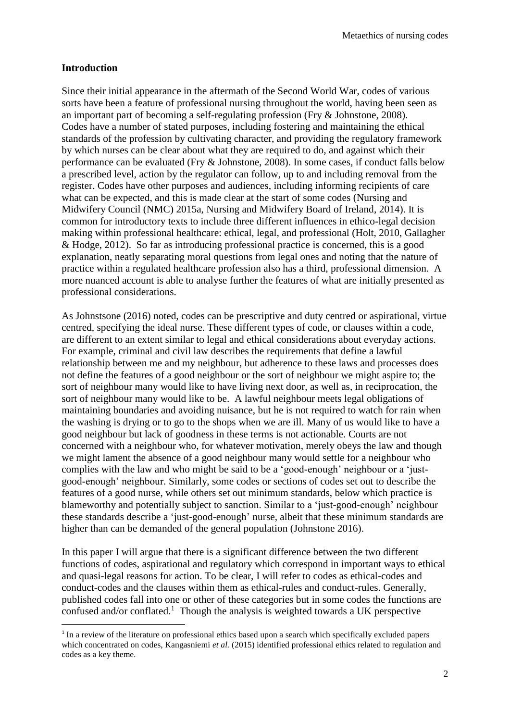## **Introduction**

**.** 

Since their initial appearance in the aftermath of the Second World War, codes of various sorts have been a feature of professional nursing throughout the world, having been seen as an important part of becoming a self-regulating profession (Fry & Johnstone, 2008). Codes have a number of stated purposes, including fostering and maintaining the ethical standards of the profession by cultivating character, and providing the regulatory framework by which nurses can be clear about what they are required to do, and against which their performance can be evaluated (Fry & Johnstone, 2008). In some cases, if conduct falls below a prescribed level, action by the regulator can follow, up to and including removal from the register. Codes have other purposes and audiences, including informing recipients of care what can be expected, and this is made clear at the start of some codes (Nursing and Midwifery Council (NMC) 2015a, Nursing and Midwifery Board of Ireland, 2014). It is common for introductory texts to include three different influences in ethico-legal decision making within professional healthcare: ethical, legal, and professional (Holt, 2010, Gallagher & Hodge, 2012). So far as introducing professional practice is concerned, this is a good explanation, neatly separating moral questions from legal ones and noting that the nature of practice within a regulated healthcare profession also has a third, professional dimension. A more nuanced account is able to analyse further the features of what are initially presented as professional considerations.

As Johnstsone (2016) noted, codes can be prescriptive and duty centred or aspirational, virtue centred, specifying the ideal nurse. These different types of code, or clauses within a code, are different to an extent similar to legal and ethical considerations about everyday actions. For example, criminal and civil law describes the requirements that define a lawful relationship between me and my neighbour, but adherence to these laws and processes does not define the features of a good neighbour or the sort of neighbour we might aspire to; the sort of neighbour many would like to have living next door, as well as, in reciprocation, the sort of neighbour many would like to be. A lawful neighbour meets legal obligations of maintaining boundaries and avoiding nuisance, but he is not required to watch for rain when the washing is drying or to go to the shops when we are ill. Many of us would like to have a good neighbour but lack of goodness in these terms is not actionable. Courts are not concerned with a neighbour who, for whatever motivation, merely obeys the law and though we might lament the absence of a good neighbour many would settle for a neighbour who complies with the law and who might be said to be a 'good-enough' neighbour or a 'justgood-enough' neighbour. Similarly, some codes or sections of codes set out to describe the features of a good nurse, while others set out minimum standards, below which practice is blameworthy and potentially subject to sanction. Similar to a 'just-good-enough' neighbour these standards describe a 'just-good-enough' nurse, albeit that these minimum standards are higher than can be demanded of the general population (Johnstone 2016).

In this paper I will argue that there is a significant difference between the two different functions of codes, aspirational and regulatory which correspond in important ways to ethical and quasi-legal reasons for action. To be clear, I will refer to codes as ethical-codes and conduct-codes and the clauses within them as ethical-rules and conduct-rules. Generally, published codes fall into one or other of these categories but in some codes the functions are confused and/or conflated.<sup>1</sup> Though the analysis is weighted towards a UK perspective

<sup>&</sup>lt;sup>1</sup> In a review of the literature on professional ethics based upon a search which specifically excluded papers which concentrated on codes, Kangasniemi *et al.* (2015) identified professional ethics related to regulation and codes as a key theme.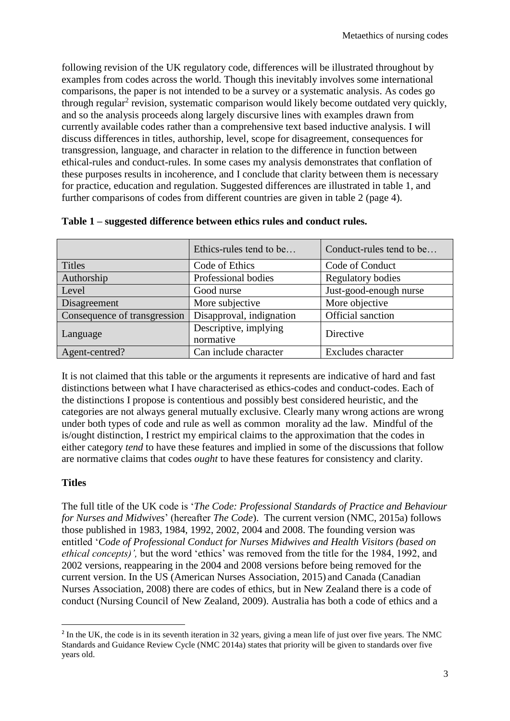following revision of the UK regulatory code, differences will be illustrated throughout by examples from codes across the world. Though this inevitably involves some international comparisons, the paper is not intended to be a survey or a systematic analysis. As codes go through regular<sup>2</sup> revision, systematic comparison would likely become outdated very quickly, and so the analysis proceeds along largely discursive lines with examples drawn from currently available codes rather than a comprehensive text based inductive analysis. I will discuss differences in titles, authorship, level, scope for disagreement, consequences for transgression, language, and character in relation to the difference in function between ethical-rules and conduct-rules. In some cases my analysis demonstrates that conflation of these purposes results in incoherence, and I conclude that clarity between them is necessary for practice, education and regulation. Suggested differences are illustrated in table 1, and further comparisons of codes from different countries are given in table 2 (page 4).

|                              | Ethics-rules tend to be            | Conduct-rules tend to be  |  |
|------------------------------|------------------------------------|---------------------------|--|
| <b>Titles</b>                | Code of Ethics                     | Code of Conduct           |  |
| Authorship                   | Professional bodies                | <b>Regulatory bodies</b>  |  |
| Level                        | Good nurse                         | Just-good-enough nurse    |  |
| Disagreement                 | More subjective                    | More objective            |  |
| Consequence of transgression | Disapproval, indignation           | Official sanction         |  |
| Language                     | Descriptive, implying<br>normative | Directive                 |  |
| Agent-centred?               | Can include character              | <b>Excludes</b> character |  |

| Table 1 – suggested difference between ethics rules and conduct rules. |  |  |  |
|------------------------------------------------------------------------|--|--|--|
|                                                                        |  |  |  |

It is not claimed that this table or the arguments it represents are indicative of hard and fast distinctions between what I have characterised as ethics-codes and conduct-codes. Each of the distinctions I propose is contentious and possibly best considered heuristic, and the categories are not always general mutually exclusive. Clearly many wrong actions are wrong under both types of code and rule as well as common morality ad the law. Mindful of the is/ought distinction, I restrict my empirical claims to the approximation that the codes in either category *tend* to have these features and implied in some of the discussions that follow are normative claims that codes *ought* to have these features for consistency and clarity.

## **Titles**

**.** 

The full title of the UK code is '*The Code: Professional Standards of Practice and Behaviour for Nurses and Midwives*' (hereafter *The Code*). The current version (NMC, 2015a) follows those published in 1983, 1984, 1992, 2002, 2004 and 2008. The founding version was entitled '*Code of Professional Conduct for Nurses Midwives and Health Visitors (based on ethical concepts)',* but the word 'ethics' was removed from the title for the 1984, 1992, and 2002 versions, reappearing in the 2004 and 2008 versions before being removed for the current version. In the US (American Nurses Association, 2015) and Canada (Canadian Nurses Association, 2008) there are codes of ethics, but in New Zealand there is a code of conduct (Nursing Council of New Zealand, 2009). Australia has both a code of ethics and a

<sup>&</sup>lt;sup>2</sup> In the UK, the code is in its seventh iteration in 32 years, giving a mean life of just over five years. The NMC Standards and Guidance Review Cycle (NMC 2014a) states that priority will be given to standards over five years old.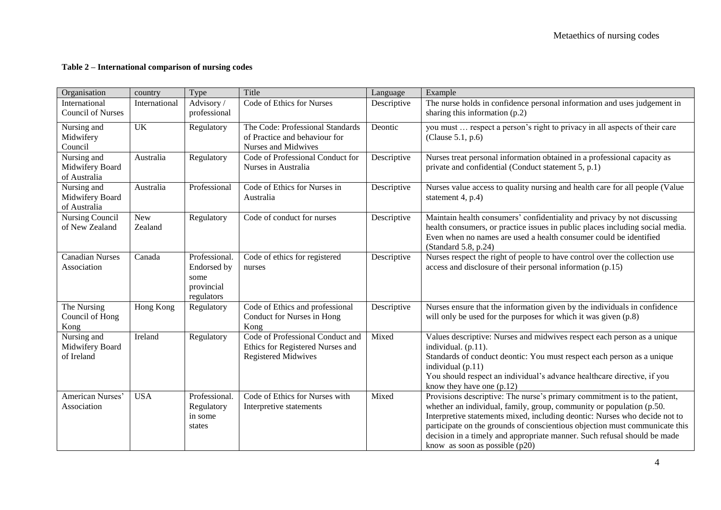#### **Table 2 – International comparison of nursing codes**

| Organisation                                   | country               | Type                                                             | Title                                                                                              | Language    | Example                                                                                                                                                                                                                                                                                                                                                                                                                        |
|------------------------------------------------|-----------------------|------------------------------------------------------------------|----------------------------------------------------------------------------------------------------|-------------|--------------------------------------------------------------------------------------------------------------------------------------------------------------------------------------------------------------------------------------------------------------------------------------------------------------------------------------------------------------------------------------------------------------------------------|
| International<br><b>Council of Nurses</b>      | International         | Advisory /<br>professional                                       | Code of Ethics for Nurses                                                                          | Descriptive | The nurse holds in confidence personal information and uses judgement in<br>sharing this information $(p.2)$                                                                                                                                                                                                                                                                                                                   |
| Nursing and<br>Midwifery<br>Council            | UK                    | Regulatory                                                       | The Code: Professional Standards<br>of Practice and behaviour for<br>Nurses and Midwives           | Deontic     | you must  respect a person's right to privacy in all aspects of their care<br>(Clause 5.1, p.6)                                                                                                                                                                                                                                                                                                                                |
| Nursing and<br>Midwifery Board<br>of Australia | Australia             | Regulatory                                                       | Code of Professional Conduct for<br>Nurses in Australia                                            | Descriptive | Nurses treat personal information obtained in a professional capacity as<br>private and confidential (Conduct statement 5, p.1)                                                                                                                                                                                                                                                                                                |
| Nursing and<br>Midwifery Board<br>of Australia | Australia             | Professional                                                     | Code of Ethics for Nurses in<br>Australia                                                          | Descriptive | Nurses value access to quality nursing and health care for all people (Value)<br>statement $4$ , p. $4$ )                                                                                                                                                                                                                                                                                                                      |
| Nursing Council<br>of New Zealand              | <b>New</b><br>Zealand | Regulatory                                                       | Code of conduct for nurses                                                                         | Descriptive | Maintain health consumers' confidentiality and privacy by not discussing<br>health consumers, or practice issues in public places including social media.<br>Even when no names are used a health consumer could be identified<br>(Standard 5.8, p.24)                                                                                                                                                                         |
| <b>Canadian Nurses</b><br>Association          | Canada                | Professional.<br>Endorsed by<br>some<br>provincial<br>regulators | Code of ethics for registered<br>nurses                                                            | Descriptive | Nurses respect the right of people to have control over the collection use<br>access and disclosure of their personal information (p.15)                                                                                                                                                                                                                                                                                       |
| The Nursing<br>Council of Hong<br>Kong         | Hong Kong             | Regulatory                                                       | Code of Ethics and professional<br>Conduct for Nurses in Hong<br>Kong                              | Descriptive | Nurses ensure that the information given by the individuals in confidence<br>will only be used for the purposes for which it was given (p.8)                                                                                                                                                                                                                                                                                   |
| Nursing and<br>Midwifery Board<br>of Ireland   | Ireland               | Regulatory                                                       | Code of Professional Conduct and<br>Ethics for Registered Nurses and<br><b>Registered Midwives</b> | Mixed       | Values descriptive: Nurses and midwives respect each person as a unique<br>individual. (p.11).<br>Standards of conduct deontic: You must respect each person as a unique<br>individual (p.11)<br>You should respect an individual's advance healthcare directive, if you<br>know they have one $(p.12)$                                                                                                                        |
| American Nurses <sup>3</sup><br>Association    | <b>USA</b>            | Professional.<br>Regulatory<br>in some<br>states                 | Code of Ethics for Nurses with<br>Interpretive statements                                          | Mixed       | Provisions descriptive: The nurse's primary commitment is to the patient,<br>whether an individual, family, group, community or population (p.50.<br>Interpretive statements mixed, including deontic: Nurses who decide not to<br>participate on the grounds of conscientious objection must communicate this<br>decision in a timely and appropriate manner. Such refusal should be made<br>know as soon as possible $(p20)$ |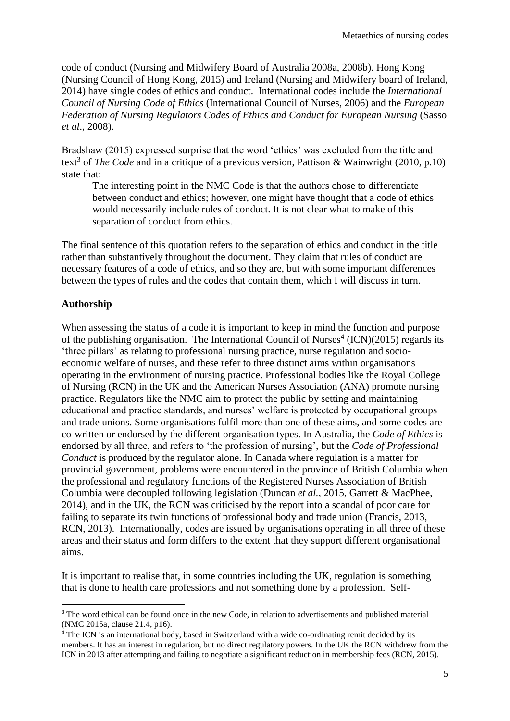code of conduct (Nursing and Midwifery Board of Australia 2008a, 2008b). Hong Kong (Nursing Council of Hong Kong, 2015) and Ireland (Nursing and Midwifery board of Ireland, 2014) have single codes of ethics and conduct. International codes include the *International Council of Nursing Code of Ethics* (International Council of Nurses, 2006) and the *European Federation of Nursing Regulators Codes of Ethics and Conduct for European Nursing* (Sasso *et al*., 2008).

Bradshaw (2015) expressed surprise that the word 'ethics' was excluded from the title and text<sup>3</sup> of *The Code* and in a critique of a previous version, Pattison & Wainwright (2010, p.10) state that:

The interesting point in the NMC Code is that the authors chose to differentiate between conduct and ethics; however, one might have thought that a code of ethics would necessarily include rules of conduct. It is not clear what to make of this separation of conduct from ethics.

The final sentence of this quotation refers to the separation of ethics and conduct in the title rather than substantively throughout the document. They claim that rules of conduct are necessary features of a code of ethics, and so they are, but with some important differences between the types of rules and the codes that contain them, which I will discuss in turn.

## **Authorship**

 $\overline{\phantom{a}}$ 

When assessing the status of a code it is important to keep in mind the function and purpose of the publishing organisation. The International Council of Nurses<sup>4</sup> (ICN)(2015) regards its 'three pillars' as relating to professional nursing practice, nurse regulation and socioeconomic welfare of nurses, and these refer to three distinct aims within organisations operating in the environment of nursing practice. Professional bodies like the Royal College of Nursing (RCN) in the UK and the American Nurses Association (ANA) promote nursing practice. Regulators like the NMC aim to protect the public by setting and maintaining educational and practice standards, and nurses' welfare is protected by occupational groups and trade unions. Some organisations fulfil more than one of these aims, and some codes are co-written or endorsed by the different organisation types. In Australia, the *Code of Ethics* is endorsed by all three, and refers to 'the profession of nursing', but the *Code of Professional Conduct* is produced by the regulator alone. In Canada where regulation is a matter for provincial government, problems were encountered in the province of British Columbia when the professional and regulatory functions of the Registered Nurses Association of British Columbia were decoupled following legislation (Duncan *et al.*, 2015, Garrett & MacPhee, 2014), and in the UK, the RCN was criticised by the report into a scandal of poor care for failing to separate its twin functions of professional body and trade union (Francis, 2013, RCN, 2013). Internationally, codes are issued by organisations operating in all three of these areas and their status and form differs to the extent that they support different organisational aims.

It is important to realise that, in some countries including the UK, regulation is something that is done to health care professions and not something done by a profession. Self-

<sup>&</sup>lt;sup>3</sup> The word ethical can be found once in the new Code, in relation to advertisements and published material (NMC 2015a, clause 21.4, p16).

<sup>&</sup>lt;sup>4</sup> The ICN is an international body, based in Switzerland with a wide co-ordinating remit decided by its members. It has an interest in regulation, but no direct regulatory powers. In the UK the RCN withdrew from the ICN in 2013 after attempting and failing to negotiate a significant reduction in membership fees (RCN, 2015).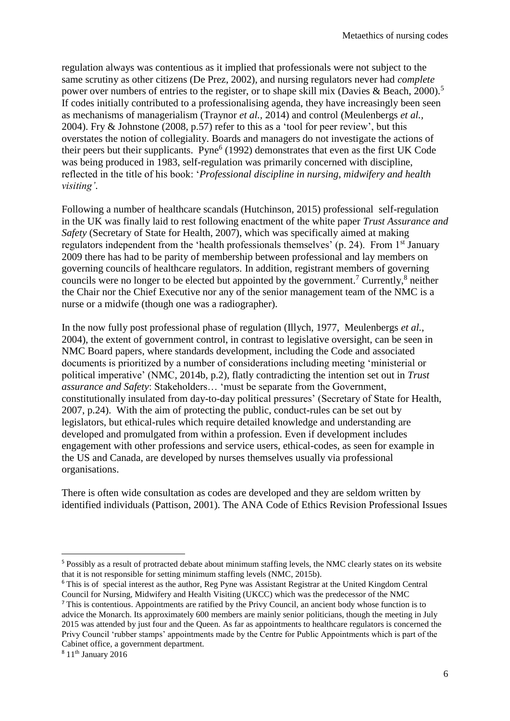regulation always was contentious as it implied that professionals were not subject to the same scrutiny as other citizens (De Prez, 2002), and nursing regulators never had *complete* power over numbers of entries to the register, or to shape skill mix (Davies & Beach, 2000).<sup>5</sup> If codes initially contributed to a professionalising agenda, they have increasingly been seen as mechanisms of managerialism (Traynor *et al.,* 2014) and control (Meulenbergs *et al.,* 2004). Fry & Johnstone (2008, p.57) refer to this as a 'tool for peer review', but this overstates the notion of collegiality. Boards and managers do not investigate the actions of their peers but their supplicants. Pyne<sup>6</sup> (1992) demonstrates that even as the first UK Code was being produced in 1983, self-regulation was primarily concerned with discipline, reflected in the title of his book: '*Professional discipline in nursing, midwifery and health visiting'*.

Following a number of healthcare scandals (Hutchinson, 2015) professional self-regulation in the UK was finally laid to rest following enactment of the white paper *Trust Assurance and Safety* (Secretary of State for Health, 2007), which was specifically aimed at making regulators independent from the 'health professionals themselves' (p. 24). From 1<sup>st</sup> January 2009 there has had to be parity of membership between professional and lay members on governing councils of healthcare regulators. In addition, registrant members of governing councils were no longer to be elected but appointed by the government. <sup>7</sup> Currently, 8 neither the Chair nor the Chief Executive nor any of the senior management team of the NMC is a nurse or a midwife (though one was a radiographer).

In the now fully post professional phase of regulation (Illych, 1977, Meulenbergs *et al.,* 2004), the extent of government control, in contrast to legislative oversight, can be seen in NMC Board papers, where standards development, including the Code and associated documents is prioritized by a number of considerations including meeting 'ministerial or political imperative' (NMC, 2014b, p.2), flatly contradicting the intention set out in *Trust assurance and Safety*: Stakeholders… 'must be separate from the Government, constitutionally insulated from day-to-day political pressures' (Secretary of State for Health, 2007, p.24). With the aim of protecting the public, conduct-rules can be set out by legislators, but ethical-rules which require detailed knowledge and understanding are developed and promulgated from within a profession. Even if development includes engagement with other professions and service users, ethical-codes, as seen for example in the US and Canada, are developed by nurses themselves usually via professional organisations.

There is often wide consultation as codes are developed and they are seldom written by identified individuals (Pattison, 2001). The ANA Code of Ethics Revision Professional Issues

1

<sup>&</sup>lt;sup>5</sup> Possibly as a result of protracted debate about minimum staffing levels, the NMC clearly states on its website that it is not responsible for setting minimum staffing levels (NMC, 2015b).

<sup>&</sup>lt;sup>6</sup> This is of special interest as the author, Reg Pyne was Assistant Registrar at the United Kingdom Central Council for Nursing, Midwifery and Health Visiting (UKCC) which was the predecessor of the NMC

<sup>7</sup> This is contentious. Appointments are ratified by the Privy Council, an ancient body whose function is to advice the Monarch. Its approximately 600 members are mainly senior politicians, though the meeting in July 2015 was attended by just four and the Queen. As far as appointments to healthcare regulators is concerned the Privy Council 'rubber stamps' appointments made by the Centre for Public Appointments which is part of the Cabinet office, a government department.

<sup>&</sup>lt;sup>8</sup> 11<sup>th</sup> January 2016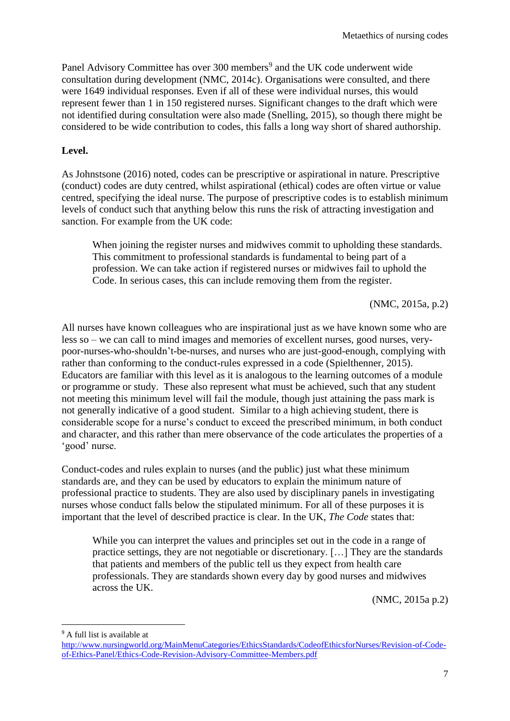Panel Advisory Committee has over 300 members<sup>9</sup> and the UK code underwent wide consultation during development (NMC, 2014c). Organisations were consulted, and there were 1649 individual responses. Even if all of these were individual nurses, this would represent fewer than 1 in 150 registered nurses. Significant changes to the draft which were not identified during consultation were also made (Snelling, 2015), so though there might be considered to be wide contribution to codes, this falls a long way short of shared authorship.

## **Level.**

As Johnstsone (2016) noted, codes can be prescriptive or aspirational in nature. Prescriptive (conduct) codes are duty centred, whilst aspirational (ethical) codes are often virtue or value centred, specifying the ideal nurse. The purpose of prescriptive codes is to establish minimum levels of conduct such that anything below this runs the risk of attracting investigation and sanction. For example from the UK code:

When joining the register nurses and midwives commit to upholding these standards. This commitment to professional standards is fundamental to being part of a profession. We can take action if registered nurses or midwives fail to uphold the Code. In serious cases, this can include removing them from the register.

(NMC, 2015a, p.2)

All nurses have known colleagues who are inspirational just as we have known some who are less so – we can call to mind images and memories of excellent nurses, good nurses, verypoor-nurses-who-shouldn't-be-nurses, and nurses who are just-good-enough, complying with rather than conforming to the conduct-rules expressed in a code (Spielthenner, 2015). Educators are familiar with this level as it is analogous to the learning outcomes of a module or programme or study. These also represent what must be achieved, such that any student not meeting this minimum level will fail the module, though just attaining the pass mark is not generally indicative of a good student. Similar to a high achieving student, there is considerable scope for a nurse's conduct to exceed the prescribed minimum, in both conduct and character, and this rather than mere observance of the code articulates the properties of a 'good' nurse.

Conduct-codes and rules explain to nurses (and the public) just what these minimum standards are, and they can be used by educators to explain the minimum nature of professional practice to students. They are also used by disciplinary panels in investigating nurses whose conduct falls below the stipulated minimum. For all of these purposes it is important that the level of described practice is clear. In the UK, *The Code* states that:

While you can interpret the values and principles set out in the code in a range of practice settings, they are not negotiable or discretionary. […] They are the standards that patients and members of the public tell us they expect from health care professionals. They are standards shown every day by good nurses and midwives across the UK.

(NMC, 2015a p.2)

**.** <sup>9</sup> A full list is available at

[http://www.nursingworld.org/MainMenuCategories/EthicsStandards/CodeofEthicsforNurses/Revision-of-Code](http://www.nursingworld.org/MainMenuCategories/EthicsStandards/CodeofEthicsforNurses/Revision-of-Code-of-Ethics-Panel/Ethics-Code-Revision-Advisory-Committee-Members.pdf)[of-Ethics-Panel/Ethics-Code-Revision-Advisory-Committee-Members.pdf](http://www.nursingworld.org/MainMenuCategories/EthicsStandards/CodeofEthicsforNurses/Revision-of-Code-of-Ethics-Panel/Ethics-Code-Revision-Advisory-Committee-Members.pdf)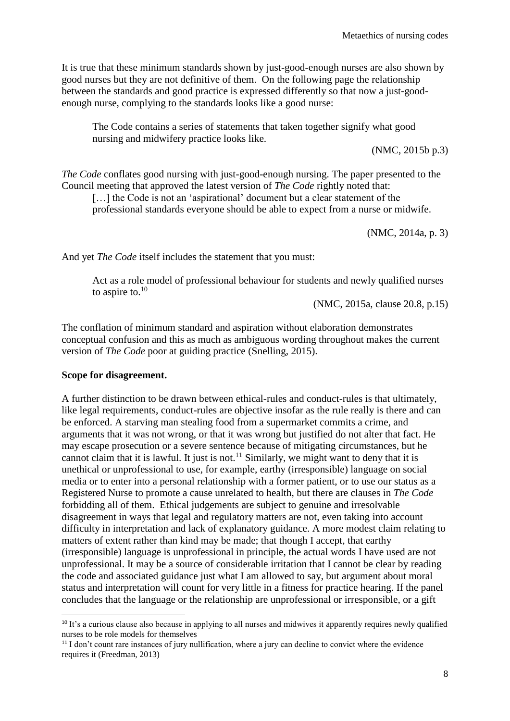It is true that these minimum standards shown by just-good-enough nurses are also shown by good nurses but they are not definitive of them. On the following page the relationship between the standards and good practice is expressed differently so that now a just-goodenough nurse, complying to the standards looks like a good nurse:

The Code contains a series of statements that taken together signify what good nursing and midwifery practice looks like.

(NMC, 2015b p.3)

*The Code* conflates good nursing with just-good-enough nursing. The paper presented to the Council meeting that approved the latest version of *The Code* rightly noted that:

[...] the Code is not an 'aspirational' document but a clear statement of the professional standards everyone should be able to expect from a nurse or midwife.

(NMC, 2014a, p. 3)

And yet *The Code* itself includes the statement that you must:

Act as a role model of professional behaviour for students and newly qualified nurses to aspire to. $10$ 

(NMC, 2015a, clause 20.8, p.15)

The conflation of minimum standard and aspiration without elaboration demonstrates conceptual confusion and this as much as ambiguous wording throughout makes the current version of *The Code* poor at guiding practice (Snelling, 2015).

#### **Scope for disagreement.**

1

A further distinction to be drawn between ethical-rules and conduct-rules is that ultimately, like legal requirements, conduct-rules are objective insofar as the rule really is there and can be enforced. A starving man stealing food from a supermarket commits a crime, and arguments that it was not wrong, or that it was wrong but justified do not alter that fact. He may escape prosecution or a severe sentence because of mitigating circumstances, but he cannot claim that it is lawful. It just is not.<sup>11</sup> Similarly, we might want to deny that it is unethical or unprofessional to use, for example, earthy (irresponsible) language on social media or to enter into a personal relationship with a former patient, or to use our status as a Registered Nurse to promote a cause unrelated to health, but there are clauses in *The Code* forbidding all of them. Ethical judgements are subject to genuine and irresolvable disagreement in ways that legal and regulatory matters are not, even taking into account difficulty in interpretation and lack of explanatory guidance. A more modest claim relating to matters of extent rather than kind may be made; that though I accept, that earthy (irresponsible) language is unprofessional in principle, the actual words I have used are not unprofessional. It may be a source of considerable irritation that I cannot be clear by reading the code and associated guidance just what I am allowed to say, but argument about moral status and interpretation will count for very little in a fitness for practice hearing. If the panel concludes that the language or the relationship are unprofessional or irresponsible, or a gift

<sup>&</sup>lt;sup>10</sup> It's a curious clause also because in applying to all nurses and midwives it apparently requires newly qualified nurses to be role models for themselves

<sup>&</sup>lt;sup>11</sup> I don't count rare instances of jury nullification, where a jury can decline to convict where the evidence requires it (Freedman, 2013)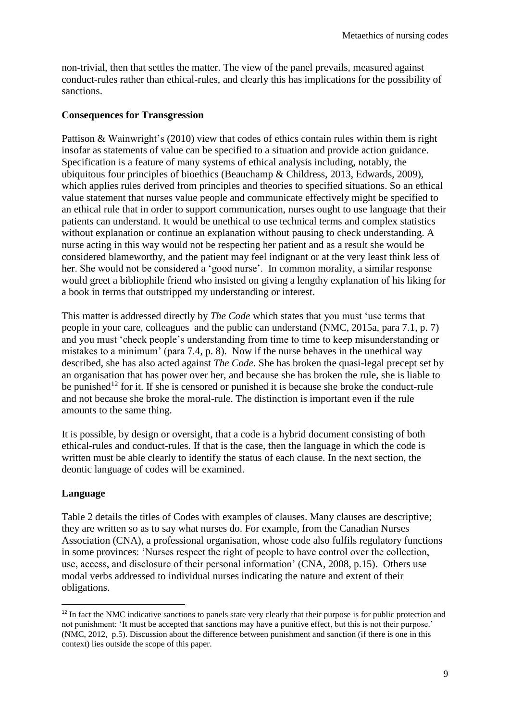non-trivial, then that settles the matter. The view of the panel prevails, measured against conduct-rules rather than ethical-rules, and clearly this has implications for the possibility of sanctions.

#### **Consequences for Transgression**

Pattison & Wainwright's (2010) view that codes of ethics contain rules within them is right insofar as statements of value can be specified to a situation and provide action guidance. Specification is a feature of many systems of ethical analysis including, notably, the ubiquitous four principles of bioethics (Beauchamp & Childress, 2013, Edwards, 2009), which applies rules derived from principles and theories to specified situations. So an ethical value statement that nurses value people and communicate effectively might be specified to an ethical rule that in order to support communication, nurses ought to use language that their patients can understand. It would be unethical to use technical terms and complex statistics without explanation or continue an explanation without pausing to check understanding. A nurse acting in this way would not be respecting her patient and as a result she would be considered blameworthy, and the patient may feel indignant or at the very least think less of her. She would not be considered a 'good nurse'. In common morality, a similar response would greet a bibliophile friend who insisted on giving a lengthy explanation of his liking for a book in terms that outstripped my understanding or interest.

This matter is addressed directly by *The Code* which states that you must 'use terms that people in your care, colleagues and the public can understand (NMC, 2015a, para 7.1, p. 7) and you must 'check people's understanding from time to time to keep misunderstanding or mistakes to a minimum' (para 7.4, p. 8). Now if the nurse behaves in the unethical way described, she has also acted against *The Code*. She has broken the quasi-legal precept set by an organisation that has power over her, and because she has broken the rule, she is liable to be punished<sup>12</sup> for it. If she is censored or punished it is because she broke the conduct-rule and not because she broke the moral-rule. The distinction is important even if the rule amounts to the same thing.

It is possible, by design or oversight, that a code is a hybrid document consisting of both ethical-rules and conduct-rules. If that is the case, then the language in which the code is written must be able clearly to identify the status of each clause. In the next section, the deontic language of codes will be examined.

## **Language**

 $\overline{\phantom{a}}$ 

Table 2 details the titles of Codes with examples of clauses. Many clauses are descriptive; they are written so as to say what nurses do. For example, from the Canadian Nurses Association (CNA), a professional organisation, whose code also fulfils regulatory functions in some provinces: 'Nurses respect the right of people to have control over the collection, use, access, and disclosure of their personal information' (CNA, 2008, p.15). Others use modal verbs addressed to individual nurses indicating the nature and extent of their obligations.

 $12$  In fact the NMC indicative sanctions to panels state very clearly that their purpose is for public protection and not punishment: 'It must be accepted that sanctions may have a punitive effect, but this is not their purpose.' (NMC, 2012, p.5). Discussion about the difference between punishment and sanction (if there is one in this context) lies outside the scope of this paper.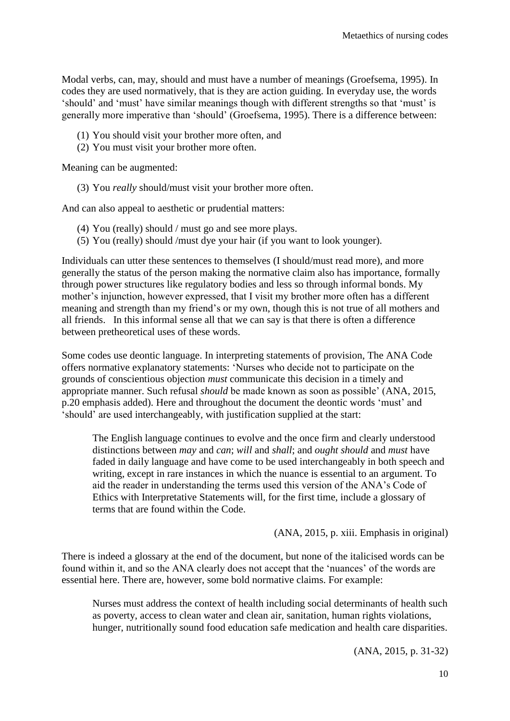Modal verbs, can, may, should and must have a number of meanings (Groefsema, 1995). In codes they are used normatively, that is they are action guiding. In everyday use, the words 'should' and 'must' have similar meanings though with different strengths so that 'must' is generally more imperative than 'should' (Groefsema, 1995). There is a difference between:

- (1) You should visit your brother more often, and
- (2) You must visit your brother more often.

Meaning can be augmented:

(3) You *really* should/must visit your brother more often.

And can also appeal to aesthetic or prudential matters:

- (4) You (really) should / must go and see more plays.
- (5) You (really) should /must dye your hair (if you want to look younger).

Individuals can utter these sentences to themselves (I should/must read more), and more generally the status of the person making the normative claim also has importance, formally through power structures like regulatory bodies and less so through informal bonds. My mother's injunction, however expressed, that I visit my brother more often has a different meaning and strength than my friend's or my own, though this is not true of all mothers and all friends. In this informal sense all that we can say is that there is often a difference between pretheoretical uses of these words.

Some codes use deontic language. In interpreting statements of provision, The ANA Code offers normative explanatory statements: 'Nurses who decide not to participate on the grounds of conscientious objection *must* communicate this decision in a timely and appropriate manner. Such refusal *should* be made known as soon as possible' (ANA, 2015, p.20 emphasis added). Here and throughout the document the deontic words 'must' and 'should' are used interchangeably, with justification supplied at the start:

The English language continues to evolve and the once firm and clearly understood distinctions between *may* and *can*; *will* and *shall*; and *ought should* and *must* have faded in daily language and have come to be used interchangeably in both speech and writing, except in rare instances in which the nuance is essential to an argument. To aid the reader in understanding the terms used this version of the ANA's Code of Ethics with Interpretative Statements will, for the first time, include a glossary of terms that are found within the Code.

(ANA, 2015, p. xiii. Emphasis in original)

There is indeed a glossary at the end of the document, but none of the italicised words can be found within it, and so the ANA clearly does not accept that the 'nuances' of the words are essential here. There are, however, some bold normative claims. For example:

Nurses must address the context of health including social determinants of health such as poverty, access to clean water and clean air, sanitation, human rights violations, hunger, nutritionally sound food education safe medication and health care disparities.

(ANA, 2015, p. 31-32)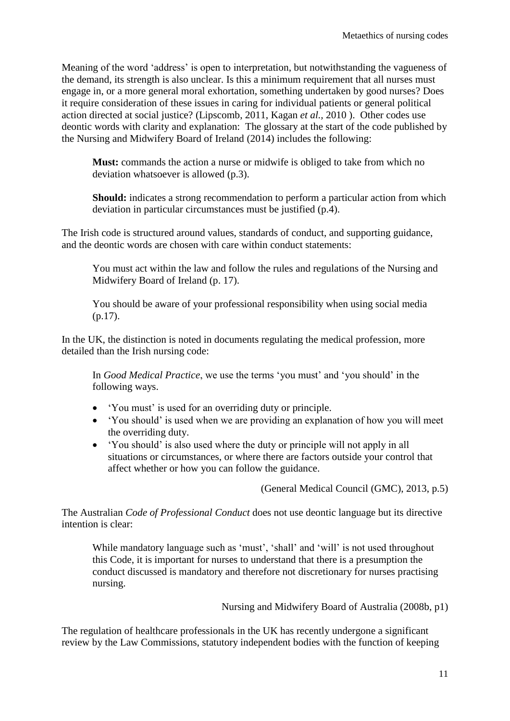Meaning of the word 'address' is open to interpretation, but notwithstanding the vagueness of the demand, its strength is also unclear. Is this a minimum requirement that all nurses must engage in, or a more general moral exhortation, something undertaken by good nurses? Does it require consideration of these issues in caring for individual patients or general political action directed at social justice? (Lipscomb, 2011, Kagan *et al.,* 2010 ). Other codes use deontic words with clarity and explanation: The glossary at the start of the code published by the Nursing and Midwifery Board of Ireland (2014) includes the following:

**Must:** commands the action a nurse or midwife is obliged to take from which no deviation whatsoever is allowed (p.3).

**Should:** indicates a strong recommendation to perform a particular action from which deviation in particular circumstances must be justified (p.4).

The Irish code is structured around values, standards of conduct, and supporting guidance, and the deontic words are chosen with care within conduct statements:

You must act within the law and follow the rules and regulations of the Nursing and Midwifery Board of Ireland (p. 17).

You should be aware of your professional responsibility when using social media (p.17).

In the UK, the distinction is noted in documents regulating the medical profession, more detailed than the Irish nursing code:

In *Good Medical Practice*, we use the terms 'you must' and 'you should' in the following ways.

- 'You must' is used for an overriding duty or principle.
- 'You should' is used when we are providing an explanation of how you will meet the overriding duty.
- 'You should' is also used where the duty or principle will not apply in all situations or circumstances, or where there are factors outside your control that affect whether or how you can follow the guidance.

(General Medical Council (GMC), 2013, p.5)

The Australian *Code of Professional Conduct* does not use deontic language but its directive intention is clear:

While mandatory language such as 'must', 'shall' and 'will' is not used throughout this Code, it is important for nurses to understand that there is a presumption the conduct discussed is mandatory and therefore not discretionary for nurses practising nursing.

Nursing and Midwifery Board of Australia (2008b, p1)

The regulation of healthcare professionals in the UK has recently undergone a significant review by the Law Commissions, statutory independent bodies with the function of keeping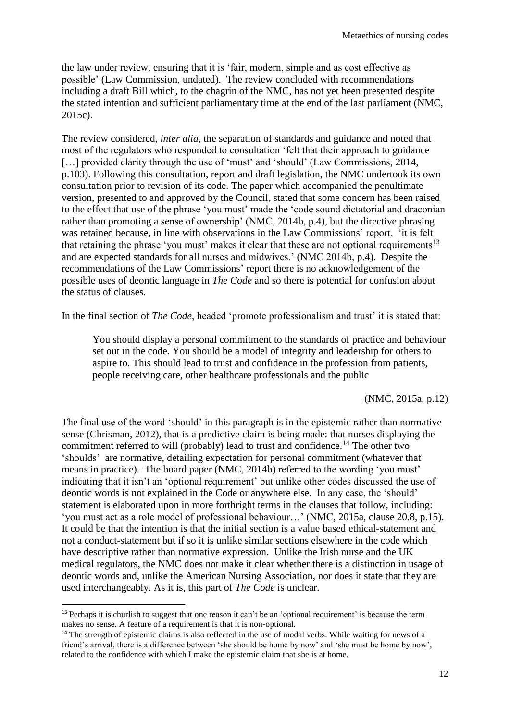the law under review, ensuring that it is 'fair, modern, simple and as cost effective as possible' (Law Commission, undated). The review concluded with recommendations including a draft Bill which, to the chagrin of the NMC, has not yet been presented despite the stated intention and sufficient parliamentary time at the end of the last parliament (NMC, 2015c).

The review considered, *inter alia*, the separation of standards and guidance and noted that most of the regulators who responded to consultation 'felt that their approach to guidance [...] provided clarity through the use of 'must' and 'should' (Law Commissions, 2014, p.103). Following this consultation, report and draft legislation, the NMC undertook its own consultation prior to revision of its code. The paper which accompanied the penultimate version, presented to and approved by the Council, stated that some concern has been raised to the effect that use of the phrase 'you must' made the 'code sound dictatorial and draconian rather than promoting a sense of ownership' (NMC, 2014b, p.4), but the directive phrasing was retained because, in line with observations in the Law Commissions' report, 'it is felt that retaining the phrase 'you must' makes it clear that these are not optional requirements<sup>13</sup> and are expected standards for all nurses and midwives.' (NMC 2014b, p.4). Despite the recommendations of the Law Commissions' report there is no acknowledgement of the possible uses of deontic language in *The Code* and so there is potential for confusion about the status of clauses.

In the final section of *The Code*, headed 'promote professionalism and trust' it is stated that:

You should display a personal commitment to the standards of practice and behaviour set out in the code. You should be a model of integrity and leadership for others to aspire to. This should lead to trust and confidence in the profession from patients, people receiving care, other healthcare professionals and the public

(NMC, 2015a, p.12)

The final use of the word 'should' in this paragraph is in the epistemic rather than normative sense (Chrisman, 2012), that is a predictive claim is being made: that nurses displaying the commitment referred to will (probably) lead to trust and confidence.<sup>14</sup> The other two 'shoulds' are normative, detailing expectation for personal commitment (whatever that means in practice). The board paper (NMC, 2014b) referred to the wording 'you must' indicating that it isn't an 'optional requirement' but unlike other codes discussed the use of deontic words is not explained in the Code or anywhere else. In any case, the 'should' statement is elaborated upon in more forthright terms in the clauses that follow, including: 'you must act as a role model of professional behaviour…' (NMC, 2015a, clause 20.8, p.15). It could be that the intention is that the initial section is a value based ethical-statement and not a conduct-statement but if so it is unlike similar sections elsewhere in the code which have descriptive rather than normative expression. Unlike the Irish nurse and the UK medical regulators, the NMC does not make it clear whether there is a distinction in usage of deontic words and, unlike the American Nursing Association, nor does it state that they are used interchangeably. As it is, this part of *The Code* is unclear.

 $\overline{\phantom{a}}$ 

<sup>&</sup>lt;sup>13</sup> Perhaps it is churlish to suggest that one reason it can't be an 'optional requirement' is because the term makes no sense. A feature of a requirement is that it is non-optional.

<sup>&</sup>lt;sup>14</sup> The strength of epistemic claims is also reflected in the use of modal verbs. While waiting for news of a friend's arrival, there is a difference between 'she should be home by now' and 'she must be home by now', related to the confidence with which I make the epistemic claim that she is at home.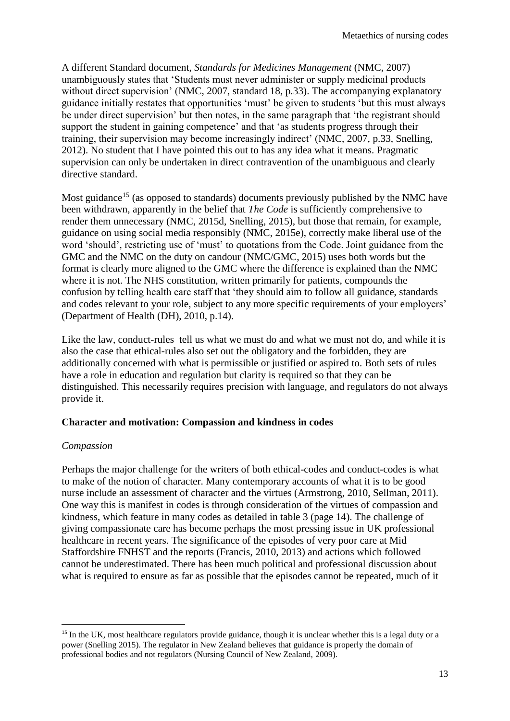A different Standard document, *Standards for Medicines Management* (NMC, 2007) unambiguously states that 'Students must never administer or supply medicinal products without direct supervision' (NMC, 2007, standard 18, p.33). The accompanying explanatory guidance initially restates that opportunities 'must' be given to students 'but this must always be under direct supervision' but then notes, in the same paragraph that 'the registrant should support the student in gaining competence' and that 'as students progress through their training, their supervision may become increasingly indirect' (NMC, 2007, p.33, Snelling, 2012). No student that I have pointed this out to has any idea what it means. Pragmatic supervision can only be undertaken in direct contravention of the unambiguous and clearly directive standard.

Most guidance<sup>15</sup> (as opposed to standards) documents previously published by the NMC have been withdrawn, apparently in the belief that *The Code* is sufficiently comprehensive to render them unnecessary (NMC, 2015d, Snelling, 2015), but those that remain, for example, guidance on using social media responsibly (NMC, 2015e), correctly make liberal use of the word 'should', restricting use of 'must' to quotations from the Code. Joint guidance from the GMC and the NMC on the duty on candour (NMC/GMC, 2015) uses both words but the format is clearly more aligned to the GMC where the difference is explained than the NMC where it is not. The NHS constitution, written primarily for patients, compounds the confusion by telling health care staff that 'they should aim to follow all guidance, standards and codes relevant to your role, subject to any more specific requirements of your employers' (Department of Health (DH), 2010, p.14).

Like the law, conduct-rules tell us what we must do and what we must not do, and while it is also the case that ethical-rules also set out the obligatory and the forbidden, they are additionally concerned with what is permissible or justified or aspired to. Both sets of rules have a role in education and regulation but clarity is required so that they can be distinguished. This necessarily requires precision with language, and regulators do not always provide it.

## **Character and motivation: Compassion and kindness in codes**

#### *Compassion*

**.** 

Perhaps the major challenge for the writers of both ethical-codes and conduct-codes is what to make of the notion of character. Many contemporary accounts of what it is to be good nurse include an assessment of character and the virtues (Armstrong, 2010, Sellman, 2011). One way this is manifest in codes is through consideration of the virtues of compassion and kindness, which feature in many codes as detailed in table 3 (page 14). The challenge of giving compassionate care has become perhaps the most pressing issue in UK professional healthcare in recent years. The significance of the episodes of very poor care at Mid Staffordshire FNHST and the reports (Francis, 2010, 2013) and actions which followed cannot be underestimated. There has been much political and professional discussion about what is required to ensure as far as possible that the episodes cannot be repeated, much of it

<sup>&</sup>lt;sup>15</sup> In the UK, most healthcare regulators provide guidance, though it is unclear whether this is a legal duty or a power (Snelling 2015). The regulator in New Zealand believes that guidance is properly the domain of professional bodies and not regulators (Nursing Council of New Zealand, 2009).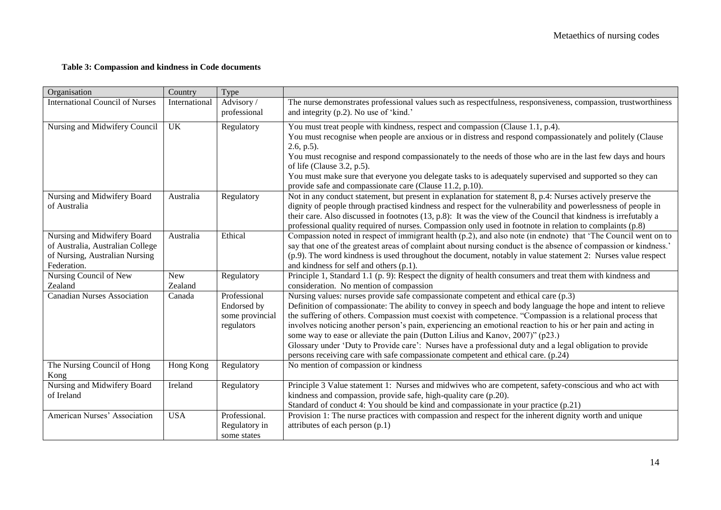#### **Table 3: Compassion and kindness in Code documents**

| Organisation                                                                                                     | Country               | Type                                                         |                                                                                                                                                                                                                                                                                                                                                                                                                                                                                                                                                                                                                                                                                                                      |
|------------------------------------------------------------------------------------------------------------------|-----------------------|--------------------------------------------------------------|----------------------------------------------------------------------------------------------------------------------------------------------------------------------------------------------------------------------------------------------------------------------------------------------------------------------------------------------------------------------------------------------------------------------------------------------------------------------------------------------------------------------------------------------------------------------------------------------------------------------------------------------------------------------------------------------------------------------|
| <b>International Council of Nurses</b>                                                                           | International         | Advisory /<br>professional                                   | The nurse demonstrates professional values such as respectfulness, responsiveness, compassion, trustworthiness<br>and integrity (p.2). No use of 'kind.'                                                                                                                                                                                                                                                                                                                                                                                                                                                                                                                                                             |
| Nursing and Midwifery Council                                                                                    | <b>UK</b>             | Regulatory                                                   | You must treat people with kindness, respect and compassion (Clause 1.1, p.4).<br>You must recognise when people are anxious or in distress and respond compassionately and politely (Clause<br>$2.6, p.5$ .<br>You must recognise and respond compassionately to the needs of those who are in the last few days and hours<br>of life (Clause 3.2, p.5).<br>You must make sure that everyone you delegate tasks to is adequately supervised and supported so they can<br>provide safe and compassionate care (Clause 11.2, p.10).                                                                                                                                                                                   |
| Nursing and Midwifery Board<br>of Australia                                                                      | Australia             | Regulatory                                                   | Not in any conduct statement, but present in explanation for statement 8, p.4: Nurses actively preserve the<br>dignity of people through practised kindness and respect for the vulnerability and powerlessness of people in<br>their care. Also discussed in footnotes $(13, p.8)$ : It was the view of the Council that kindness is irrefutably a<br>professional quality required of nurses. Compassion only used in footnote in relation to complaints (p.8)                                                                                                                                                                                                                                                     |
| Nursing and Midwifery Board<br>of Australia, Australian College<br>of Nursing, Australian Nursing<br>Federation. | Australia             | Ethical                                                      | Compassion noted in respect of immigrant health (p.2), and also note (in endnote) that 'The Council went on to<br>say that one of the greatest areas of complaint about nursing conduct is the absence of compassion or kindness.'<br>(p.9). The word kindness is used throughout the document, notably in value statement 2: Nurses value respect<br>and kindness for self and others (p.1).                                                                                                                                                                                                                                                                                                                        |
| Nursing Council of New<br>Zealand                                                                                | <b>New</b><br>Zealand | Regulatory                                                   | Principle 1, Standard 1.1 (p. 9): Respect the dignity of health consumers and treat them with kindness and<br>consideration. No mention of compassion                                                                                                                                                                                                                                                                                                                                                                                                                                                                                                                                                                |
| <b>Canadian Nurses Association</b>                                                                               | Canada                | Professional<br>Endorsed by<br>some provincial<br>regulators | Nursing values: nurses provide safe compassionate competent and ethical care (p.3)<br>Definition of compassionate: The ability to convey in speech and body language the hope and intent to relieve<br>the suffering of others. Compassion must coexist with competence. "Compassion is a relational process that<br>involves noticing another person's pain, experiencing an emotional reaction to his or her pain and acting in<br>some way to ease or alleviate the pain (Dutton Lilius and Kanov, 2007)" (p23.)<br>Glossary under 'Duty to Provide care': Nurses have a professional duty and a legal obligation to provide<br>persons receiving care with safe compassionate competent and ethical care. (p.24) |
| The Nursing Council of Hong<br>Kong                                                                              | Hong Kong             | Regulatory                                                   | No mention of compassion or kindness                                                                                                                                                                                                                                                                                                                                                                                                                                                                                                                                                                                                                                                                                 |
| Nursing and Midwifery Board<br>of Ireland                                                                        | Ireland               | Regulatory                                                   | Principle 3 Value statement 1: Nurses and midwives who are competent, safety-conscious and who act with<br>kindness and compassion, provide safe, high-quality care (p.20).<br>Standard of conduct 4: You should be kind and compassionate in your practice (p.21)                                                                                                                                                                                                                                                                                                                                                                                                                                                   |
| American Nurses' Association                                                                                     | <b>USA</b>            | Professional.<br>Regulatory in<br>some states                | Provision 1: The nurse practices with compassion and respect for the inherent dignity worth and unique<br>attributes of each person $(p.1)$                                                                                                                                                                                                                                                                                                                                                                                                                                                                                                                                                                          |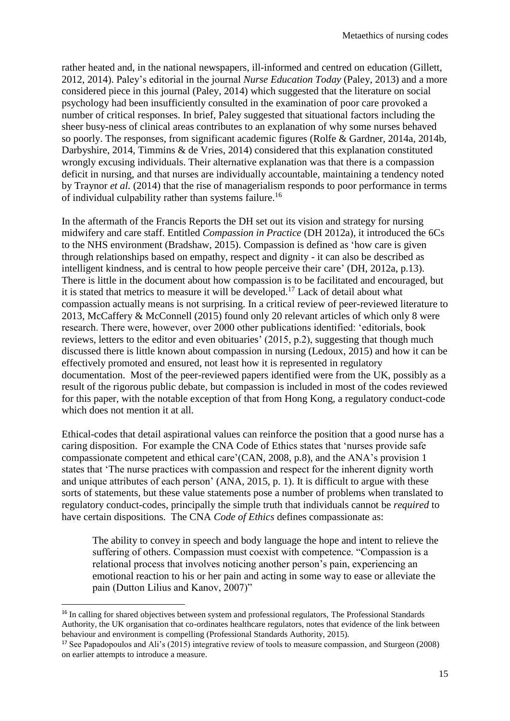rather heated and, in the national newspapers, ill-informed and centred on education (Gillett, 2012, 2014). Paley's editorial in the journal *Nurse Education Today* (Paley, 2013) and a more considered piece in this journal (Paley, 2014) which suggested that the literature on social psychology had been insufficiently consulted in the examination of poor care provoked a number of critical responses. In brief, Paley suggested that situational factors including the sheer busy-ness of clinical areas contributes to an explanation of why some nurses behaved so poorly. The responses, from significant academic figures (Rolfe & Gardner, 2014a, 2014b, Darbyshire, 2014, Timmins & de Vries, 2014) considered that this explanation constituted wrongly excusing individuals. Their alternative explanation was that there is a compassion deficit in nursing, and that nurses are individually accountable, maintaining a tendency noted by Traynor *et al.* (2014) that the rise of managerialism responds to poor performance in terms of individual culpability rather than systems failure.<sup>16</sup>

In the aftermath of the Francis Reports the DH set out its vision and strategy for nursing midwifery and care staff. Entitled *Compassion in Practice* (DH 2012a), it introduced the 6Cs to the NHS environment (Bradshaw, 2015). Compassion is defined as 'how care is given through relationships based on empathy, respect and dignity - it can also be described as intelligent kindness, and is central to how people perceive their care' (DH, 2012a, p.13). There is little in the document about how compassion is to be facilitated and encouraged, but it is stated that metrics to measure it will be developed.<sup>17</sup> Lack of detail about what compassion actually means is not surprising. In a critical review of peer-reviewed literature to 2013, McCaffery & McConnell (2015) found only 20 relevant articles of which only 8 were research. There were, however, over 2000 other publications identified: 'editorials, book reviews, letters to the editor and even obituaries' (2015, p.2), suggesting that though much discussed there is little known about compassion in nursing (Ledoux, 2015) and how it can be effectively promoted and ensured, not least how it is represented in regulatory documentation. Most of the peer-reviewed papers identified were from the UK, possibly as a result of the rigorous public debate, but compassion is included in most of the codes reviewed for this paper, with the notable exception of that from Hong Kong, a regulatory conduct-code which does not mention it at all.

Ethical-codes that detail aspirational values can reinforce the position that a good nurse has a caring disposition. For example the CNA Code of Ethics states that 'nurses provide safe compassionate competent and ethical care'(CAN, 2008, p.8), and the ANA's provision 1 states that 'The nurse practices with compassion and respect for the inherent dignity worth and unique attributes of each person' (ANA, 2015, p. 1). It is difficult to argue with these sorts of statements, but these value statements pose a number of problems when translated to regulatory conduct-codes, principally the simple truth that individuals cannot be *required* to have certain dispositions. The CNA *Code of Ethics* defines compassionate as:

The ability to convey in speech and body language the hope and intent to relieve the suffering of others. Compassion must coexist with competence. "Compassion is a relational process that involves noticing another person's pain, experiencing an emotional reaction to his or her pain and acting in some way to ease or alleviate the pain (Dutton Lilius and Kanov, 2007)"

 $\overline{\phantom{a}}$ 

<sup>&</sup>lt;sup>16</sup> In calling for shared objectives between system and professional regulators. The Professional Standards Authority, the UK organisation that co-ordinates healthcare regulators, notes that evidence of the link between behaviour and environment is compelling (Professional Standards Authority, 2015).

<sup>17</sup> See Papadopoulos and Ali's (2015) integrative review of tools to measure compassion, and Sturgeon (2008) on earlier attempts to introduce a measure.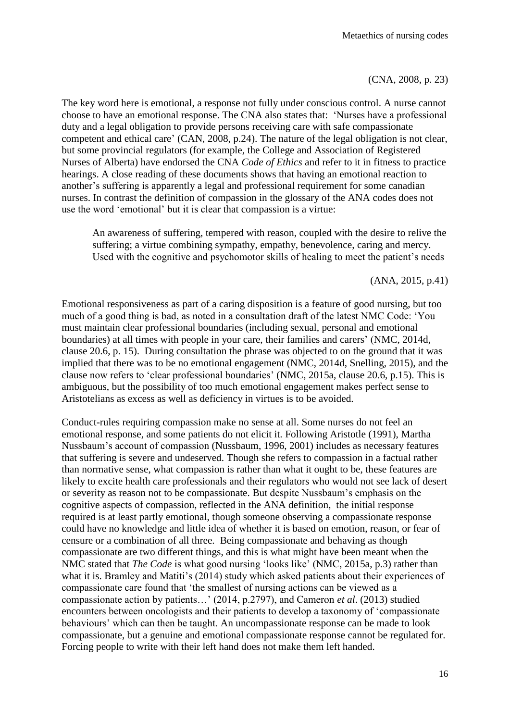(CNA, 2008, p. 23)

The key word here is emotional, a response not fully under conscious control. A nurse cannot choose to have an emotional response. The CNA also states that: 'Nurses have a professional duty and a legal obligation to provide persons receiving care with safe compassionate competent and ethical care' (CAN, 2008, p.24). The nature of the legal obligation is not clear, but some provincial regulators (for example, the College and Association of Registered Nurses of Alberta) have endorsed the CNA *Code of Ethics* and refer to it in fitness to practice hearings. A close reading of these documents shows that having an emotional reaction to another's suffering is apparently a legal and professional requirement for some canadian nurses. In contrast the definition of compassion in the glossary of the ANA codes does not use the word 'emotional' but it is clear that compassion is a virtue:

An awareness of suffering, tempered with reason, coupled with the desire to relive the suffering; a virtue combining sympathy, empathy, benevolence, caring and mercy. Used with the cognitive and psychomotor skills of healing to meet the patient's needs

#### (ANA, 2015, p.41)

Emotional responsiveness as part of a caring disposition is a feature of good nursing, but too much of a good thing is bad, as noted in a consultation draft of the latest NMC Code: 'You must maintain clear professional boundaries (including sexual, personal and emotional boundaries) at all times with people in your care, their families and carers' (NMC, 2014d, clause 20.6, p. 15). During consultation the phrase was objected to on the ground that it was implied that there was to be no emotional engagement (NMC, 2014d, Snelling, 2015), and the clause now refers to 'clear professional boundaries' (NMC, 2015a, clause 20.6, p.15). This is ambiguous, but the possibility of too much emotional engagement makes perfect sense to Aristotelians as excess as well as deficiency in virtues is to be avoided.

Conduct-rules requiring compassion make no sense at all. Some nurses do not feel an emotional response, and some patients do not elicit it. Following Aristotle (1991), Martha Nussbaum's account of compassion (Nussbaum, 1996, 2001) includes as necessary features that suffering is severe and undeserved. Though she refers to compassion in a factual rather than normative sense, what compassion is rather than what it ought to be, these features are likely to excite health care professionals and their regulators who would not see lack of desert or severity as reason not to be compassionate. But despite Nussbaum's emphasis on the cognitive aspects of compassion, reflected in the ANA definition, the initial response required is at least partly emotional, though someone observing a compassionate response could have no knowledge and little idea of whether it is based on emotion, reason, or fear of censure or a combination of all three. Being compassionate and behaving as though compassionate are two different things, and this is what might have been meant when the NMC stated that *The Code* is what good nursing 'looks like' (NMC, 2015a, p.3) rather than what it is. Bramley and Matiti's (2014) study which asked patients about their experiences of compassionate care found that 'the smallest of nursing actions can be viewed as a compassionate action by patients…' (2014, p.2797), and Cameron *et al*. (2013) studied encounters between oncologists and their patients to develop a taxonomy of 'compassionate behaviours' which can then be taught. An uncompassionate response can be made to look compassionate, but a genuine and emotional compassionate response cannot be regulated for. Forcing people to write with their left hand does not make them left handed.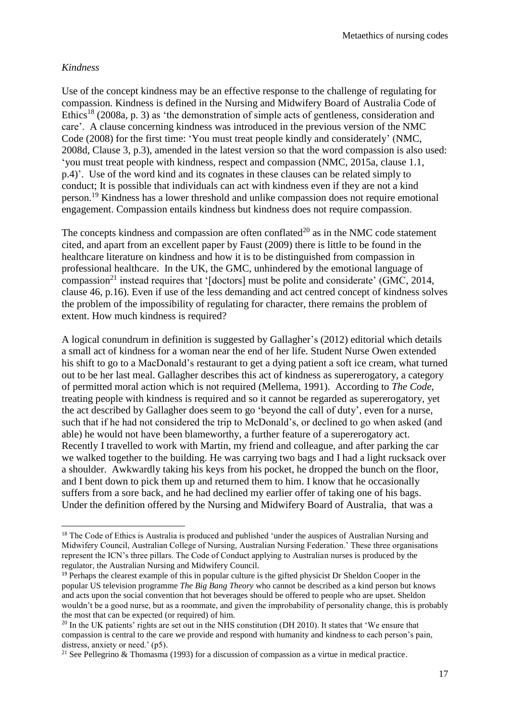## *Kindness*

**.** 

Use of the concept kindness may be an effective response to the challenge of regulating for compassion. Kindness is defined in the Nursing and Midwifery Board of Australia Code of Ethics<sup>18</sup> (2008a, p. 3) as 'the demonstration of simple acts of gentleness, consideration and care'. A clause concerning kindness was introduced in the previous version of the NMC Code (2008) for the first time: 'You must treat people kindly and considerately' (NMC, 2008d, Clause 3, p.3), amended in the latest version so that the word compassion is also used: 'you must treat people with kindness, respect and compassion (NMC, 2015a, clause 1.1, p.4)'. Use of the word kind and its cognates in these clauses can be related simply to conduct; It is possible that individuals can act with kindness even if they are not a kind person. <sup>19</sup> Kindness has a lower threshold and unlike compassion does not require emotional engagement. Compassion entails kindness but kindness does not require compassion.

The concepts kindness and compassion are often conflated<sup>20</sup> as in the NMC code statement cited, and apart from an excellent paper by Faust (2009) there is little to be found in the healthcare literature on kindness and how it is to be distinguished from compassion in professional healthcare. In the UK, the GMC, unhindered by the emotional language of compassion<sup>21</sup> instead requires that '[doctors] must be polite and considerate' (GMC, 2014, clause 46, p.16). Even if use of the less demanding and act centred concept of kindness solves the problem of the impossibility of regulating for character, there remains the problem of extent. How much kindness is required?

A logical conundrum in definition is suggested by Gallagher's (2012) editorial which details a small act of kindness for a woman near the end of her life. Student Nurse Owen extended his shift to go to a MacDonald's restaurant to get a dying patient a soft ice cream, what turned out to be her last meal. Gallagher describes this act of kindness as supererogatory, a category of permitted moral action which is not required (Mellema, 1991). According to *The Code*, treating people with kindness is required and so it cannot be regarded as supererogatory, yet the act described by Gallagher does seem to go 'beyond the call of duty', even for a nurse, such that if he had not considered the trip to McDonald's, or declined to go when asked (and able) he would not have been blameworthy, a further feature of a supererogatory act. Recently I travelled to work with Martin, my friend and colleague, and after parking the car we walked together to the building. He was carrying two bags and I had a light rucksack over a shoulder. Awkwardly taking his keys from his pocket, he dropped the bunch on the floor, and I bent down to pick them up and returned them to him. I know that he occasionally suffers from a sore back, and he had declined my earlier offer of taking one of his bags. Under the definition offered by the Nursing and Midwifery Board of Australia, that was a

<sup>&</sup>lt;sup>18</sup> The Code of Ethics is Australia is produced and published 'under the auspices of Australian Nursing and Midwifery Council, Australian College of Nursing, Australian Nursing Federation.' These three organisations represent the ICN's three pillars. The Code of Conduct applying to Australian nurses is produced by the regulator, the Australian Nursing and Midwifery Council.

<sup>&</sup>lt;sup>19</sup> Perhaps the clearest example of this in popular culture is the gifted physicist Dr Sheldon Cooper in the popular US television programme *The Big Bang Theory* who cannot be described as a kind person but knows and acts upon the social convention that hot beverages should be offered to people who are upset. Sheldon wouldn't be a good nurse, but as a roommate, and given the improbability of personality change, this is probably the most that can be expected (or required) of him.

<sup>&</sup>lt;sup>20</sup> In the UK patients' rights are set out in the NHS constitution (DH 2010). It states that 'We ensure that compassion is central to the care we provide and respond with humanity and kindness to each person's pain, distress, anxiety or need.' (p5).

<sup>&</sup>lt;sup>21</sup> See Pellegrino & Thomasma (1993) for a discussion of compassion as a virtue in medical practice.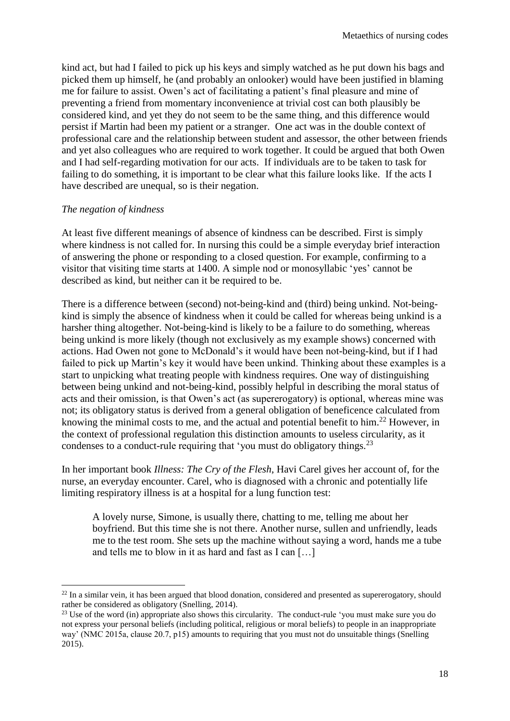kind act, but had I failed to pick up his keys and simply watched as he put down his bags and picked them up himself, he (and probably an onlooker) would have been justified in blaming me for failure to assist. Owen's act of facilitating a patient's final pleasure and mine of preventing a friend from momentary inconvenience at trivial cost can both plausibly be considered kind, and yet they do not seem to be the same thing, and this difference would persist if Martin had been my patient or a stranger. One act was in the double context of professional care and the relationship between student and assessor, the other between friends and yet also colleagues who are required to work together. It could be argued that both Owen and I had self-regarding motivation for our acts. If individuals are to be taken to task for failing to do something, it is important to be clear what this failure looks like. If the acts I have described are unequal, so is their negation.

#### *The negation of kindness*

**.** 

At least five different meanings of absence of kindness can be described. First is simply where kindness is not called for. In nursing this could be a simple everyday brief interaction of answering the phone or responding to a closed question. For example, confirming to a visitor that visiting time starts at 1400. A simple nod or monosyllabic 'yes' cannot be described as kind, but neither can it be required to be.

There is a difference between (second) not-being-kind and (third) being unkind. Not-beingkind is simply the absence of kindness when it could be called for whereas being unkind is a harsher thing altogether. Not-being-kind is likely to be a failure to do something, whereas being unkind is more likely (though not exclusively as my example shows) concerned with actions. Had Owen not gone to McDonald's it would have been not-being-kind, but if I had failed to pick up Martin's key it would have been unkind. Thinking about these examples is a start to unpicking what treating people with kindness requires. One way of distinguishing between being unkind and not-being-kind, possibly helpful in describing the moral status of acts and their omission, is that Owen's act (as supererogatory) is optional, whereas mine was not; its obligatory status is derived from a general obligation of beneficence calculated from knowing the minimal costs to me, and the actual and potential benefit to him.<sup>22</sup> However, in the context of professional regulation this distinction amounts to useless circularity, as it condenses to a conduct-rule requiring that 'you must do obligatory things.<sup>23</sup>

In her important book *Illness: The Cry of the Flesh*, Havi Carel gives her account of, for the nurse, an everyday encounter. Carel, who is diagnosed with a chronic and potentially life limiting respiratory illness is at a hospital for a lung function test:

A lovely nurse, Simone, is usually there, chatting to me, telling me about her boyfriend. But this time she is not there. Another nurse, sullen and unfriendly, leads me to the test room. She sets up the machine without saying a word, hands me a tube and tells me to blow in it as hard and fast as I can […]

 $^{22}$  In a similar vein, it has been argued that blood donation, considered and presented as supererogatory, should rather be considered as obligatory (Snelling, 2014).

<sup>&</sup>lt;sup>23</sup> Use of the word (in) appropriate also shows this circularity. The conduct-rule 'you must make sure you do not express your personal beliefs (including political, religious or moral beliefs) to people in an inappropriate way' (NMC 2015a, clause 20.7, p15) amounts to requiring that you must not do unsuitable things (Snelling 2015).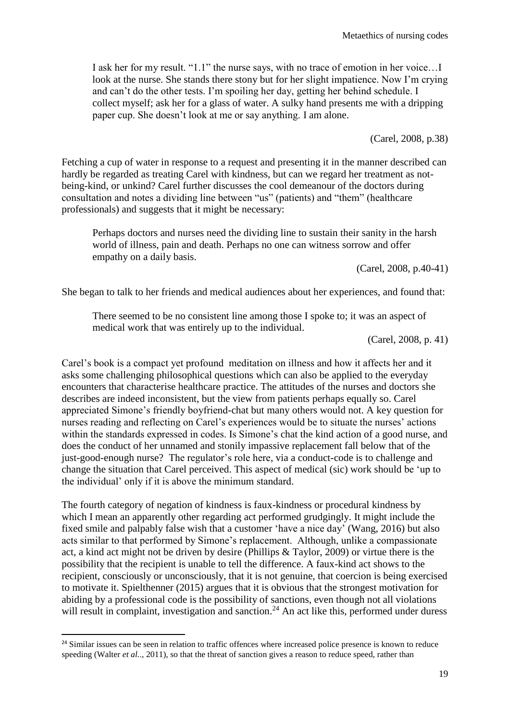I ask her for my result. "1.1" the nurse says, with no trace of emotion in her voice…I look at the nurse. She stands there stony but for her slight impatience. Now I'm crying and can't do the other tests. I'm spoiling her day, getting her behind schedule. I collect myself; ask her for a glass of water. A sulky hand presents me with a dripping paper cup. She doesn't look at me or say anything. I am alone.

(Carel, 2008, p.38)

Fetching a cup of water in response to a request and presenting it in the manner described can hardly be regarded as treating Carel with kindness, but can we regard her treatment as notbeing-kind, or unkind? Carel further discusses the cool demeanour of the doctors during consultation and notes a dividing line between "us" (patients) and "them" (healthcare professionals) and suggests that it might be necessary:

Perhaps doctors and nurses need the dividing line to sustain their sanity in the harsh world of illness, pain and death. Perhaps no one can witness sorrow and offer empathy on a daily basis.

(Carel, 2008, p.40-41)

She began to talk to her friends and medical audiences about her experiences, and found that:

There seemed to be no consistent line among those I spoke to; it was an aspect of medical work that was entirely up to the individual.

(Carel, 2008, p. 41)

Carel's book is a compact yet profound meditation on illness and how it affects her and it asks some challenging philosophical questions which can also be applied to the everyday encounters that characterise healthcare practice. The attitudes of the nurses and doctors she describes are indeed inconsistent, but the view from patients perhaps equally so. Carel appreciated Simone's friendly boyfriend-chat but many others would not. A key question for nurses reading and reflecting on Carel's experiences would be to situate the nurses' actions within the standards expressed in codes. Is Simone's chat the kind action of a good nurse, and does the conduct of her unnamed and stonily impassive replacement fall below that of the just-good-enough nurse? The regulator's role here, via a conduct-code is to challenge and change the situation that Carel perceived. This aspect of medical (sic) work should be 'up to the individual' only if it is above the minimum standard.

The fourth category of negation of kindness is faux-kindness or procedural kindness by which I mean an apparently other regarding act performed grudgingly. It might include the fixed smile and palpably false wish that a customer 'have a nice day' (Wang, 2016) but also acts similar to that performed by Simone's replacement. Although, unlike a compassionate act, a kind act might not be driven by desire (Phillips & Taylor, 2009) or virtue there is the possibility that the recipient is unable to tell the difference. A faux-kind act shows to the recipient, consciously or unconsciously, that it is not genuine, that coercion is being exercised to motivate it. Spielthenner (2015) argues that it is obvious that the strongest motivation for abiding by a professional code is the possibility of sanctions, even though not all violations will result in complaint, investigation and sanction.<sup>24</sup> An act like this, performed under duress

1

<sup>&</sup>lt;sup>24</sup> Similar issues can be seen in relation to traffic offences where increased police presence is known to reduce speeding (Walter *et al..*, 2011), so that the threat of sanction gives a reason to reduce speed, rather than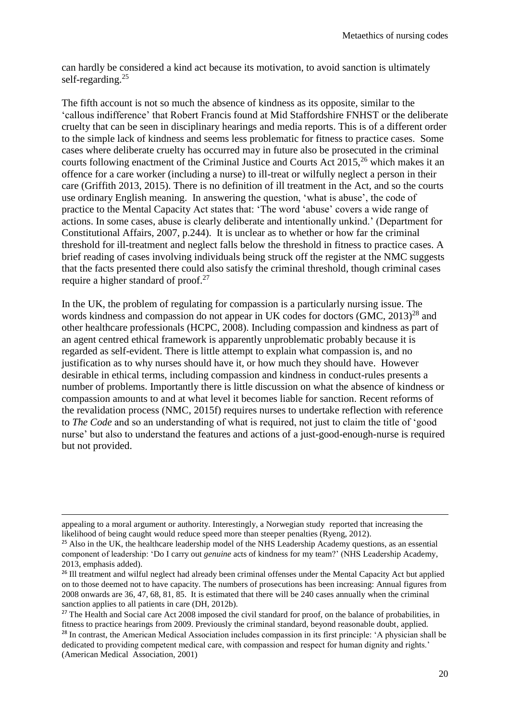can hardly be considered a kind act because its motivation, to avoid sanction is ultimately self-regarding.<sup>25</sup>

The fifth account is not so much the absence of kindness as its opposite, similar to the 'callous indifference' that Robert Francis found at Mid Staffordshire FNHST or the deliberate cruelty that can be seen in disciplinary hearings and media reports. This is of a different order to the simple lack of kindness and seems less problematic for fitness to practice cases. Some cases where deliberate cruelty has occurred may in future also be prosecuted in the criminal courts following enactment of the Criminal Justice and Courts Act 2015,<sup>26</sup> which makes it an offence for a care worker (including a nurse) to ill-treat or wilfully neglect a person in their care (Griffith 2013, 2015). There is no definition of ill treatment in the Act, and so the courts use ordinary English meaning. In answering the question, 'what is abuse', the code of practice to the Mental Capacity Act states that: 'The word 'abuse' covers a wide range of actions. In some cases, abuse is clearly deliberate and intentionally unkind.' (Department for Constitutional Affairs, 2007, p.244). It is unclear as to whether or how far the criminal threshold for ill-treatment and neglect falls below the threshold in fitness to practice cases. A brief reading of cases involving individuals being struck off the register at the NMC suggests that the facts presented there could also satisfy the criminal threshold, though criminal cases require a higher standard of proof.<sup>27</sup>

In the UK, the problem of regulating for compassion is a particularly nursing issue. The words kindness and compassion do not appear in UK codes for doctors  $(GMC, 2013)^{28}$  and other healthcare professionals (HCPC, 2008). Including compassion and kindness as part of an agent centred ethical framework is apparently unproblematic probably because it is regarded as self-evident. There is little attempt to explain what compassion is, and no justification as to why nurses should have it, or how much they should have. However desirable in ethical terms, including compassion and kindness in conduct-rules presents a number of problems. Importantly there is little discussion on what the absence of kindness or compassion amounts to and at what level it becomes liable for sanction. Recent reforms of the revalidation process (NMC, 2015f) requires nurses to undertake reflection with reference to *The Code* and so an understanding of what is required, not just to claim the title of 'good nurse' but also to understand the features and actions of a just-good-enough-nurse is required but not provided.

**.** 

appealing to a moral argument or authority. Interestingly, a Norwegian study reported that increasing the likelihood of being caught would reduce speed more than steeper penalties (Ryeng, 2012).

<sup>&</sup>lt;sup>25</sup> Also in the UK, the healthcare leadership model of the NHS Leadership Academy questions, as an essential component of leadership: 'Do I carry out *genuine* acts of kindness for my team?' (NHS Leadership Academy, 2013, emphasis added).

<sup>&</sup>lt;sup>26</sup> Ill treatment and wilful neglect had already been criminal offenses under the Mental Capacity Act but applied on to those deemed not to have capacity. The numbers of prosecutions has been increasing: Annual figures from 2008 onwards are 36, 47, 68, 81, 85. It is estimated that there will be 240 cases annually when the criminal sanction applies to all patients in care (DH, 2012b).

<sup>&</sup>lt;sup>27</sup> The Health and Social care Act 2008 imposed the civil standard for proof, on the balance of probabilities, in fitness to practice hearings from 2009. Previously the criminal standard, beyond reasonable doubt, applied.

<sup>&</sup>lt;sup>28</sup> In contrast, the American Medical Association includes compassion in its first principle: 'A physician shall be dedicated to providing competent medical care, with compassion and respect for human dignity and rights.' (American Medical Association, 2001)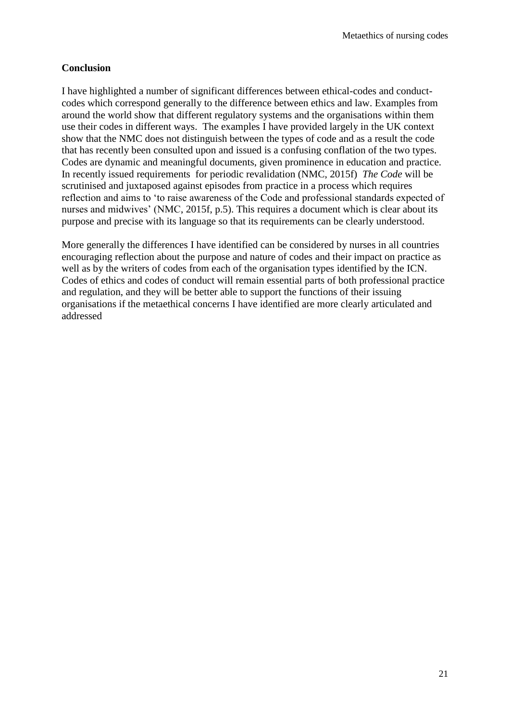## **Conclusion**

I have highlighted a number of significant differences between ethical-codes and conductcodes which correspond generally to the difference between ethics and law. Examples from around the world show that different regulatory systems and the organisations within them use their codes in different ways. The examples I have provided largely in the UK context show that the NMC does not distinguish between the types of code and as a result the code that has recently been consulted upon and issued is a confusing conflation of the two types. Codes are dynamic and meaningful documents, given prominence in education and practice. In recently issued requirements for periodic revalidation (NMC, 2015f) *The Code* will be scrutinised and juxtaposed against episodes from practice in a process which requires reflection and aims to 'to raise awareness of the Code and professional standards expected of nurses and midwives' (NMC, 2015f, p.5). This requires a document which is clear about its purpose and precise with its language so that its requirements can be clearly understood.

More generally the differences I have identified can be considered by nurses in all countries encouraging reflection about the purpose and nature of codes and their impact on practice as well as by the writers of codes from each of the organisation types identified by the ICN. Codes of ethics and codes of conduct will remain essential parts of both professional practice and regulation, and they will be better able to support the functions of their issuing organisations if the metaethical concerns I have identified are more clearly articulated and addressed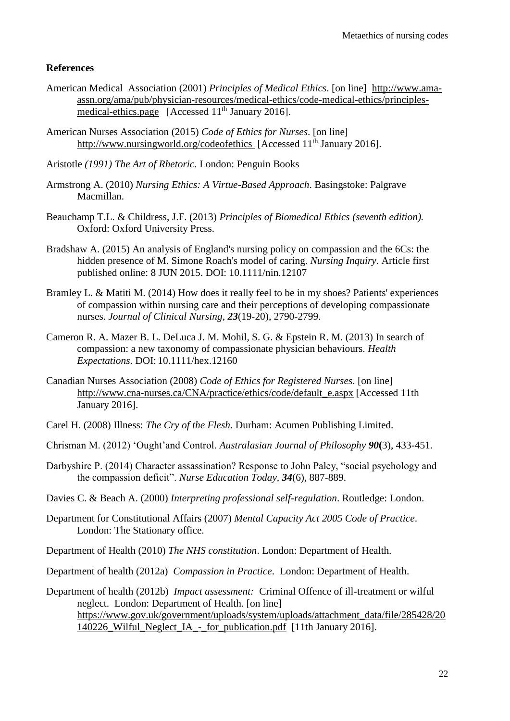## **References**

- American Medical Association (2001) *Principles of Medical Ethics*. [on line] [http://www.ama](http://www.ama-assn.org/ama/pub/physician-resources/medical-ethics/code-medical-ethics/principles-medical-ethics.page)[assn.org/ama/pub/physician-resources/medical-ethics/code-medical-ethics/principles](http://www.ama-assn.org/ama/pub/physician-resources/medical-ethics/code-medical-ethics/principles-medical-ethics.page)[medical-ethics.page](http://www.ama-assn.org/ama/pub/physician-resources/medical-ethics/code-medical-ethics/principles-medical-ethics.page) [Accessed  $11<sup>th</sup>$  January 2016].
- American Nurses Association (2015) *Code of Ethics for Nurses*. [on line] <http://www.nursingworld.org/codeofethics> [Accessed 11<sup>th</sup> January 2016].
- Aristotle *(1991) The Art of Rhetoric.* London: Penguin Books
- Armstrong A. (2010) *Nursing Ethics: A Virtue-Based Approach*. Basingstoke: Palgrave Macmillan.
- Beauchamp T.L. & Childress, J.F. (2013) *Principles of Biomedical Ethics (seventh edition).* Oxford: Oxford University Press.
- Bradshaw A. (2015) An analysis of England's nursing policy on compassion and the 6Cs: the hidden presence of M. Simone Roach's model of caring. *Nursing Inquiry*. Article first published online: 8 JUN 2015. DOI: 10.1111/nin.12107
- Bramley L. & Matiti M. (2014) How does it really feel to be in my shoes? Patients' experiences of compassion within nursing care and their perceptions of developing compassionate nurses. *Journal of Clinical Nursing*, *23*(19-20), 2790-2799.
- Cameron R. A. Mazer B. L. DeLuca J. M. Mohil, S. G. & Epstein R. M. (2013) In search of compassion: a new taxonomy of compassionate physician behaviours. *Health Expectations*. DOI: 10.1111/hex.12160
- Canadian Nurses Association (2008) *Code of Ethics for Registered Nurses*. [on line] [http://www.cna-nurses.ca/CNA/practice/ethics/code/default\\_e.aspx](http://www.cna-nurses.ca/CNA/practice/ethics/code/default_e.aspx) [Accessed 11th January 2016].
- Carel H. (2008) Illness: *The Cry of the Flesh*. Durham: Acumen Publishing Limited.
- Chrisman M. (2012) 'Ought'and Control. *Australasian Journal of Philosophy 90***(**3), 433-451.
- Darbyshire P. (2014) Character assassination? Response to John Paley, "social psychology and the compassion deficit". *Nurse Education Today, 34*(6), 887-889.
- Davies C. & Beach A. (2000) *Interpreting professional self-regulation*. Routledge: London.
- Department for Constitutional Affairs (2007) *Mental Capacity Act 2005 Code of Practice*. London: The Stationary office.
- Department of Health (2010) *The NHS constitution*. London: Department of Health.
- Department of health (2012a) *Compassion in Practice*. London: Department of Health.

Department of health (2012b) *Impact assessment:* Criminal Offence of ill-treatment or wilful neglect. London: Department of Health. [on line] [https://www.gov.uk/government/uploads/system/uploads/attachment\\_data/file/285428/20](https://www.gov.uk/government/uploads/system/uploads/attachment_data/file/285428/20140226_Wilful_Neglect_IA_-_for_publication.pdf) 140226 Wilful Neglect IA - for publication.pdf [11th January 2016].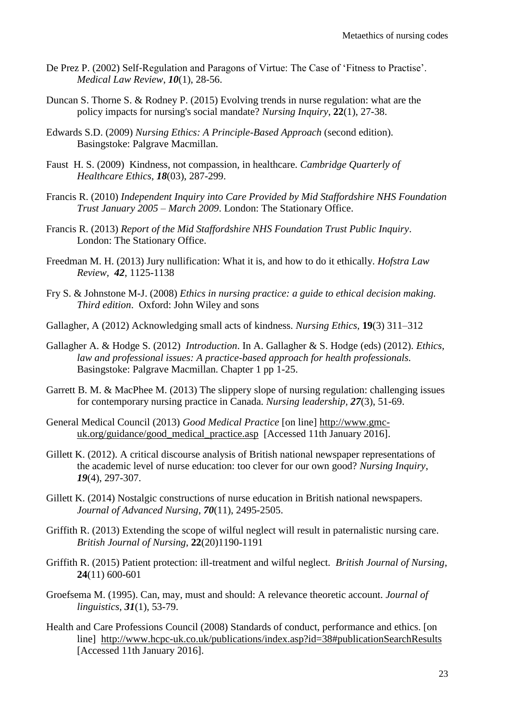- De Prez P. (2002) Self-Regulation and Paragons of Virtue: The Case of 'Fitness to Practise'. *Medical Law Review*, *10*(1), 28-56.
- Duncan S. Thorne S. & Rodney P. (2015) Evolving trends in nurse regulation: what are the policy impacts for nursing's social mandate? *Nursing Inquiry*, **22**(1), 27-38.
- Edwards S.D. (2009) *Nursing Ethics: A Principle-Based Approach* (second edition). Basingstoke: Palgrave Macmillan.
- Faust H. S. (2009) Kindness, not compassion, in healthcare. *Cambridge Quarterly of Healthcare Ethics*, *18*(03), 287-299.
- Francis R. (2010) *Independent Inquiry into Care Provided by Mid Staffordshire NHS Foundation Trust January 2005 – March 2009*. London: The Stationary Office.
- Francis R. (2013) *Report of the Mid Staffordshire NHS Foundation Trust Public Inquiry*. London: The Stationary Office.
- Freedman M. H. (2013) Jury nullification: What it is, and how to do it ethically. *Hofstra Law Review, 42*, 1125-1138
- Fry S. & Johnstone M-J. (2008) *Ethics in nursing practice: a guide to ethical decision making. Third edition*. Oxford: John Wiley and sons
- Gallagher, A (2012) Acknowledging small acts of kindness. *Nursing Ethics,* **19**(3) 311–312
- Gallagher A. & Hodge S. (2012) *Introduction*. In A. Gallagher & S. Hodge (eds) (2012). *Ethics, law and professional issues: A practice-based approach for health professionals.*  Basingstoke: Palgrave Macmillan. Chapter 1 pp 1-25.
- Garrett B. M. & MacPhee M. (2013) The slippery slope of nursing regulation: challenging issues for contemporary nursing practice in Canada. *Nursing leadership, 27*(3), 51-69.
- General Medical Council (2013) *Good Medical Practice* [on line] [http://www.gmc](http://www.gmc-uk.org/guidance/good_medical_practice.asp)[uk.org/guidance/good\\_medical\\_practice.asp](http://www.gmc-uk.org/guidance/good_medical_practice.asp) [Accessed 11th January 2016].
- Gillett K. (2012). A critical discourse analysis of British national newspaper representations of the academic level of nurse education: too clever for our own good? *Nursing Inquiry*, *19*(4), 297-307.
- Gillett K. (2014) Nostalgic constructions of nurse education in British national newspapers. *Journal of Advanced Nursing*, *70*(11), 2495-2505.
- Griffith R. (2013) Extending the scope of wilful neglect will result in paternalistic nursing care. *British Journal of Nursing*, **22**(20)1190-1191
- Griffith R. (2015) Patient protection: ill-treatment and wilful neglect. *British Journal of Nursing*, **24**(11) 600-601
- Groefsema M. (1995). Can, may, must and should: A relevance theoretic account. *Journal of linguistics*, *31*(1), 53-79.
- Health and Care Professions Council (2008) Standards of conduct, performance and ethics. [on line] <http://www.hcpc-uk.co.uk/publications/index.asp?id=38#publicationSearchResults> [Accessed 11th January 2016].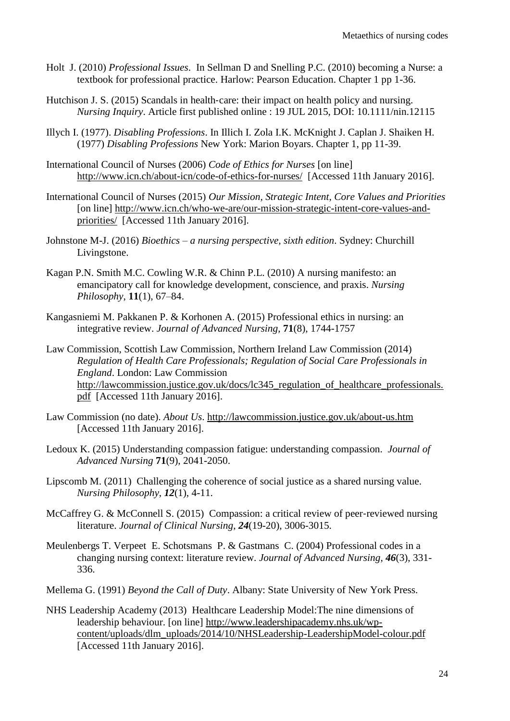- Holt J. (2010) *Professional Issues*. In Sellman D and Snelling P.C. (2010) becoming a Nurse: a textbook for professional practice. Harlow: Pearson Education. Chapter 1 pp 1-36.
- Hutchison J. S. (2015) Scandals in health-care: their impact on health policy and nursing. *Nursing Inquiry*. Article first published online : 19 JUL 2015, DOI: 10.1111/nin.12115
- Illych I. (1977). *Disabling Professions*. In Illich I. Zola I.K. McKnight J. Caplan J. Shaiken H. (1977) *Disabling Professions* New York: Marion Boyars. Chapter 1, pp 11-39.
- International Council of Nurses (2006) *Code of Ethics for Nurses* [on line] <http://www.icn.ch/about-icn/code-of-ethics-for-nurses/>[Accessed 11th January 2016].
- International Council of Nurses (2015) *Our Mission, Strategic Intent, Core Values and Priorities* [on line] [http://www.icn.ch/who-we-are/our-mission-strategic-intent-core-values-and](http://www.icn.ch/who-we-are/our-mission-strategic-intent-core-values-and-priorities/)[priorities/](http://www.icn.ch/who-we-are/our-mission-strategic-intent-core-values-and-priorities/) [Accessed 11th January 2016].
- Johnstone M-J. (2016) *Bioethics – a nursing perspective, sixth edition*. Sydney: Churchill Livingstone.
- Kagan P.N. Smith M.C. Cowling W.R. & Chinn P.L. (2010) A nursing manifesto: an emancipatory call for knowledge development, conscience, and praxis. *Nursing Philosophy*, **11**(1), 67–84.
- Kangasniemi M. Pakkanen P. & Korhonen A. (2015) Professional ethics in nursing: an integrative review. *Journal of Advanced Nursing*, **71**(8), 1744-1757

Law Commission, Scottish Law Commission, Northern Ireland Law Commission (2014) *Regulation of Health Care Professionals; Regulation of Social Care Professionals in England*. London: Law Commission http://lawcommission.justice.gov.uk/docs/lc345 regulation of healthcare professionals. [pdf](http://lawcommission.justice.gov.uk/docs/lc345_regulation_of_healthcare_professionals.pdf) [Accessed 11th January 2016].

- Law Commission (no date). *About Us*.<http://lawcommission.justice.gov.uk/about-us.htm> [Accessed 11th January 2016].
- Ledoux K. (2015) Understanding compassion fatigue: understanding compassion. *Journal of Advanced Nursing* **71**(9), 2041-2050.
- Lipscomb M. (2011) Challenging the coherence of social justice as a shared nursing value. *Nursing Philosophy*, *12*(1), 4-11.
- McCaffrey G. & McConnell S. (2015) Compassion: a critical review of peer-reviewed nursing literature. *Journal of Clinical Nursing*, *24*(19-20), 3006-3015.
- Meulenbergs T. Verpeet E. Schotsmans P. & Gastmans C. (2004) Professional codes in a changing nursing context: literature review. *Journal of Advanced Nursing*, *46*(3), 331- 336.
- Mellema G. (1991) *Beyond the Call of Duty*. Albany: State University of New York Press.
- NHS Leadership Academy (2013) Healthcare Leadership Model:The nine dimensions of leadership behaviour. [on line] [http://www.leadershipacademy.nhs.uk/wp](http://www.leadershipacademy.nhs.uk/wp-content/uploads/dlm_uploads/2014/10/NHSLeadership-LeadershipModel-colour.pdf)[content/uploads/dlm\\_uploads/2014/10/NHSLeadership-LeadershipModel-colour.pdf](http://www.leadershipacademy.nhs.uk/wp-content/uploads/dlm_uploads/2014/10/NHSLeadership-LeadershipModel-colour.pdf)  [Accessed 11th January 2016].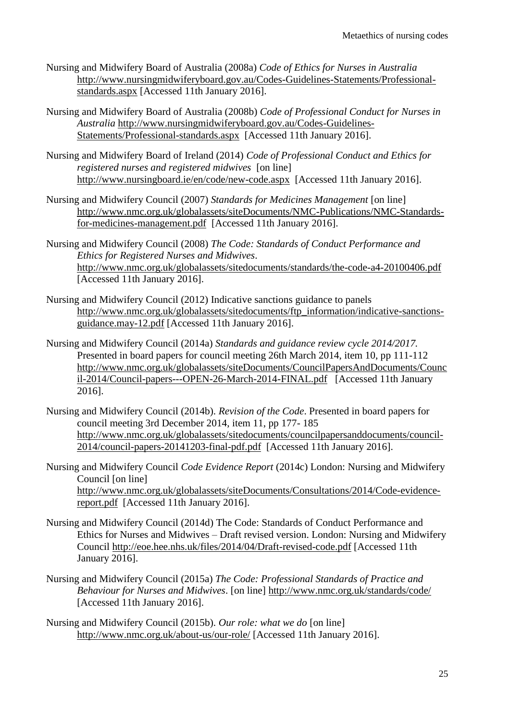- Nursing and Midwifery Board of Australia (2008a) *Code of Ethics for Nurses in Australia* [http://www.nursingmidwiferyboard.gov.au/Codes-Guidelines-Statements/Professional](http://www.nursingmidwiferyboard.gov.au/Codes-Guidelines-Statements/Professional-standards.aspx)[standards.aspx](http://www.nursingmidwiferyboard.gov.au/Codes-Guidelines-Statements/Professional-standards.aspx) [Accessed 11th January 2016].
- Nursing and Midwifery Board of Australia (2008b) *Code of Professional Conduct for Nurses in Australia* [http://www.nursingmidwiferyboard.gov.au/Codes-Guidelines-](http://www.nursingmidwiferyboard.gov.au/Codes-Guidelines-Statements/Professional-standards.aspx)[Statements/Professional-standards.aspx](http://www.nursingmidwiferyboard.gov.au/Codes-Guidelines-Statements/Professional-standards.aspx) [Accessed 11th January 2016].
- Nursing and Midwifery Board of Ireland (2014) *Code of Professional Conduct and Ethics for registered nurses and registered midwives* [on line] <http://www.nursingboard.ie/en/code/new-code.aspx>[Accessed 11th January 2016].
- Nursing and Midwifery Council (2007) *Standards for Medicines Management* [on line] [http://www.nmc.org.uk/globalassets/siteDocuments/NMC-Publications/NMC-Standards](http://www.nmc.org.uk/globalassets/siteDocuments/NMC-Publications/NMC-Standards-for-medicines-management.pdf)[for-medicines-management.pdf](http://www.nmc.org.uk/globalassets/siteDocuments/NMC-Publications/NMC-Standards-for-medicines-management.pdf) [Accessed 11th January 2016].
- Nursing and Midwifery Council (2008) *The Code: Standards of Conduct Performance and Ethics for Registered Nurses and Midwives*. <http://www.nmc.org.uk/globalassets/sitedocuments/standards/the-code-a4-20100406.pdf> [Accessed 11th January 2016].
- Nursing and Midwifery Council (2012) Indicative sanctions guidance to panels [http://www.nmc.org.uk/globalassets/sitedocuments/ftp\\_information/indicative-sanctions](http://www.nmc.org.uk/globalassets/sitedocuments/ftp_information/indicative-sanctions-guidance.may-12.pdf)[guidance.may-12.pdf](http://www.nmc.org.uk/globalassets/sitedocuments/ftp_information/indicative-sanctions-guidance.may-12.pdf) [Accessed 11th January 2016].
- Nursing and Midwifery Council (2014a) *Standards and guidance review cycle 2014/2017.* Presented in board papers for council meeting 26th March 2014, item 10, pp 111-112 [http://www.nmc.org.uk/globalassets/siteDocuments/CouncilPapersAndDocuments/Counc](http://www.nmc.org.uk/globalassets/siteDocuments/CouncilPapersAndDocuments/Council-2014/Council-papers---OPEN-26-March-2014-FINAL.pdf) [il-2014/Council-papers---OPEN-26-March-2014-FINAL.pdf](http://www.nmc.org.uk/globalassets/siteDocuments/CouncilPapersAndDocuments/Council-2014/Council-papers---OPEN-26-March-2014-FINAL.pdf) [Accessed 11th January 2016].
- Nursing and Midwifery Council (2014b). *Revision of the Code*. Presented in board papers for council meeting 3rd December 2014, item 11, pp 177- 185 [http://www.nmc.org.uk/globalassets/sitedocuments/councilpapersanddocuments/council-](http://www.nmc.org.uk/globalassets/sitedocuments/councilpapersanddocuments/council-2014/council-papers-20141203-final-pdf.pdf)[2014/council-papers-20141203-final-pdf.pdf](http://www.nmc.org.uk/globalassets/sitedocuments/councilpapersanddocuments/council-2014/council-papers-20141203-final-pdf.pdf) [Accessed 11th January 2016].
- Nursing and Midwifery Council *Code Evidence Report* (2014c) London: Nursing and Midwifery Council [on line] [http://www.nmc.org.uk/globalassets/siteDocuments/Consultations/2014/Code-evidence](http://www.nmc.org.uk/globalassets/siteDocuments/Consultations/2014/Code-evidence-report.pdf)[report.pdf](http://www.nmc.org.uk/globalassets/siteDocuments/Consultations/2014/Code-evidence-report.pdf) [Accessed 11th January 2016].
- Nursing and Midwifery Council (2014d) The Code: Standards of Conduct Performance and Ethics for Nurses and Midwives – Draft revised version. London: Nursing and Midwifery Council<http://eoe.hee.nhs.uk/files/2014/04/Draft-revised-code.pdf> [Accessed 11th January 2016].
- Nursing and Midwifery Council (2015a) *The Code: Professional Standards of Practice and Behaviour for Nurses and Midwives*. [on line]<http://www.nmc.org.uk/standards/code/> [Accessed 11th January 2016].
- Nursing and Midwifery Council (2015b). *Our role: what we do* [on line] <http://www.nmc.org.uk/about-us/our-role/> [Accessed 11th January 2016].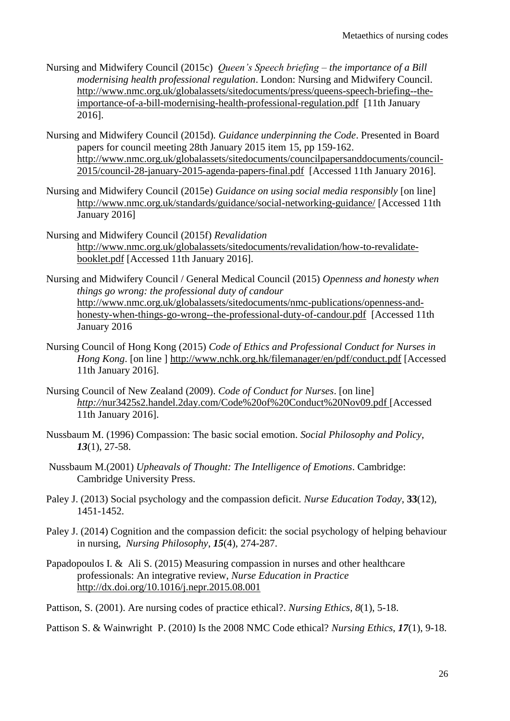- Nursing and Midwifery Council (2015c) *Queen's Speech briefing – the importance of a Bill modernising health professional regulation*. London: Nursing and Midwifery Council. [http://www.nmc.org.uk/globalassets/sitedocuments/press/queens-speech-briefing--the](http://www.nmc.org.uk/globalassets/sitedocuments/press/queens-speech-briefing--the-importance-of-a-bill-modernising-health-professional-regulation.pdf)[importance-of-a-bill-modernising-health-professional-regulation.pdf](http://www.nmc.org.uk/globalassets/sitedocuments/press/queens-speech-briefing--the-importance-of-a-bill-modernising-health-professional-regulation.pdf) [11th January 2016].
- Nursing and Midwifery Council (2015d)*. Guidance underpinning the Code*. Presented in Board papers for council meeting 28th January 2015 item 15, pp 159-162. [http://www.nmc.org.uk/globalassets/sitedocuments/councilpapersanddocuments/council-](http://www.nmc.org.uk/globalassets/sitedocuments/councilpapersanddocuments/council-2015/council-28-january-2015-agenda-papers-final.pdf)[2015/council-28-january-2015-agenda-papers-final.pdf](http://www.nmc.org.uk/globalassets/sitedocuments/councilpapersanddocuments/council-2015/council-28-january-2015-agenda-papers-final.pdf) [Accessed 11th January 2016].
- Nursing and Midwifery Council (2015e) *Guidance on using social media responsibly* [on line] <http://www.nmc.org.uk/standards/guidance/social-networking-guidance/> [Accessed 11th January 2016]
- Nursing and Midwifery Council (2015f) *Revalidation*  [http://www.nmc.org.uk/globalassets/sitedocuments/revalidation/how-to-revalidate](http://www.nmc.org.uk/globalassets/sitedocuments/revalidation/how-to-revalidate-booklet.pdf)[booklet.pdf](http://www.nmc.org.uk/globalassets/sitedocuments/revalidation/how-to-revalidate-booklet.pdf) [Accessed 11th January 2016].
- Nursing and Midwifery Council / General Medical Council (2015) *Openness and honesty when things go wrong: the professional duty of candour*  [http://www.nmc.org.uk/globalassets/sitedocuments/nmc-publications/openness-and](http://www.nmc.org.uk/globalassets/sitedocuments/nmc-publications/openness-and-honesty-when-things-go-wrong--the-professional-duty-of-candour.pdf)[honesty-when-things-go-wrong--the-professional-duty-of-candour.pdf](http://www.nmc.org.uk/globalassets/sitedocuments/nmc-publications/openness-and-honesty-when-things-go-wrong--the-professional-duty-of-candour.pdf) [Accessed 11th January 2016
- Nursing Council of Hong Kong (2015) *Code of Ethics and Professional Conduct for Nurses in Hong Kong*. [on line ]<http://www.nchk.org.hk/filemanager/en/pdf/conduct.pdf> [Accessed 11th January 2016].
- Nursing Council of New Zealand (2009). *Code of Conduct for Nurses*. [on line] *http://*[nur3425s2.handel.2day.com/Code%20of%20Conduct%20Nov09.pdf](http://nur3425s2.handel.2day.com/Code%20of%20Conduct%20Nov09.pdf) [Accessed 11th January 2016].
- Nussbaum M. (1996) Compassion: The basic social emotion. *Social Philosophy and Policy*, *13*(1), 27-58.
- Nussbaum M.(2001) *Upheavals of Thought: The Intelligence of Emotions*. Cambridge: Cambridge University Press.
- Paley J. (2013) Social psychology and the compassion deficit. *Nurse Education Today*, **33**(12), 1451-1452.
- Paley J. (2014) Cognition and the compassion deficit: the social psychology of helping behaviour in nursing, *Nursing Philosophy*, *15*(4), 274-287.
- Papadopoulos I. & Ali S. (2015) Measuring compassion in nurses and other healthcare professionals: An integrative review, *Nurse Education in Practice* <http://dx.doi.org/10.1016/j.nepr.2015.08.001>

Pattison, S. (2001). Are nursing codes of practice ethical?. *Nursing Ethics*, *8*(1), 5-18.

Pattison S. & Wainwright P. (2010) Is the 2008 NMC Code ethical? *Nursing Ethics*, *17*(1), 9-18.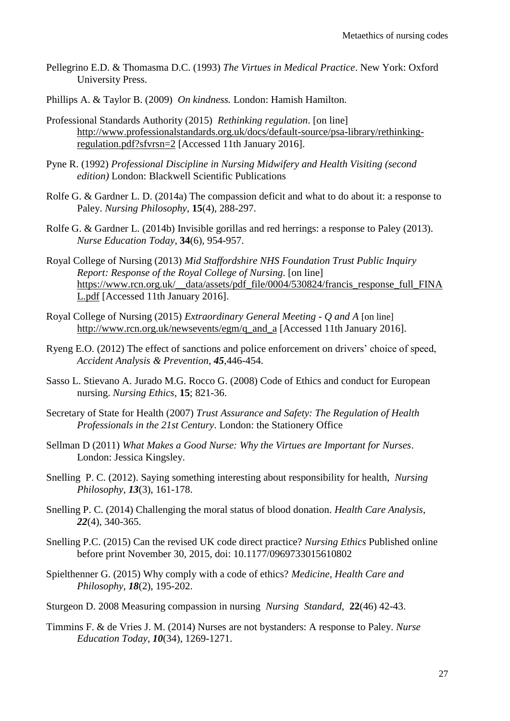- Pellegrino E.D. & Thomasma D.C. (1993) *The Virtues in Medical Practice*. New York: Oxford University Press.
- Phillips A. & Taylor B. (2009) *On kindness.* London: Hamish Hamilton.
- Professional Standards Authority (2015) *Rethinking regulation*. [on line] [http://www.professionalstandards.org.uk/docs/default-source/psa-library/rethinking](http://www.professionalstandards.org.uk/docs/default-source/psa-library/rethinking-regulation.pdf?sfvrsn=2)[regulation.pdf?sfvrsn=2](http://www.professionalstandards.org.uk/docs/default-source/psa-library/rethinking-regulation.pdf?sfvrsn=2) [Accessed 11th January 2016].
- Pyne R. (1992) *Professional Discipline in Nursing Midwifery and Health Visiting (second edition)* London: Blackwell Scientific Publications
- Rolfe G. & Gardner L. D. (2014a) The compassion deficit and what to do about it: a response to Paley. *Nursing Philosophy*, **15**(4), 288-297.
- Rolfe G. & Gardner L. (2014b) Invisible gorillas and red herrings: a response to Paley (2013). *Nurse Education Today*, **34**(6), 954-957.
- Royal College of Nursing (2013) *Mid Staffordshire NHS Foundation Trust Public Inquiry Report: Response of the Royal College of Nursing*. [on line] https://www.rcn.org.uk/ data/assets/pdf file/0004/530824/francis response full FINA [L.pdf](https://www.rcn.org.uk/__data/assets/pdf_file/0004/530824/francis_response_full_FINAL.pdf) [Accessed 11th January 2016].
- Royal College of Nursing (2015) *Extraordinary General Meeting - Q and A* [on line] [http://www.rcn.org.uk/newsevents/egm/q\\_and\\_a](http://www.rcn.org.uk/newsevents/egm/q_and_a) [Accessed 11th January 2016].
- Ryeng E.O. (2012) The effect of sanctions and police enforcement on drivers' choice of speed, *Accident Analysis & Prevention*, *45*,446-454.
- Sasso L. Stievano A. Jurado M.G. Rocco G. (2008) Code of Ethics and conduct for European nursing. *Nursing Ethics,* **15**; 821-36.
- Secretary of State for Health (2007) *Trust Assurance and Safety: The Regulation of Health Professionals in the 21st Century*. London: the Stationery Office
- Sellman D (2011) *What Makes a Good Nurse: Why the Virtues are Important for Nurses*. London: Jessica Kingsley.
- Snelling P. C. (2012). Saying something interesting about responsibility for health, *Nursing Philosophy*, *13*(3), 161-178.
- Snelling P. C. (2014) Challenging the moral status of blood donation. *Health Care Analysis*, *22*(4), 340-365.
- Snelling P.C. (2015) Can the revised UK code direct practice? *Nursing Ethics* Published online before print November 30, 2015, doi: 10.1177/0969733015610802
- Spielthenner G. (2015) Why comply with a code of ethics? *Medicine, Health Care and Philosophy*, *18*(2), 195-202.
- Sturgeon D. 2008 Measuring compassion in nursing *Nursing Standard*, **22**(46) 42-43.
- Timmins F. & de Vries J. M. (2014) Nurses are not bystanders: A response to Paley. *Nurse Education Today*, *10*(34), 1269-1271.